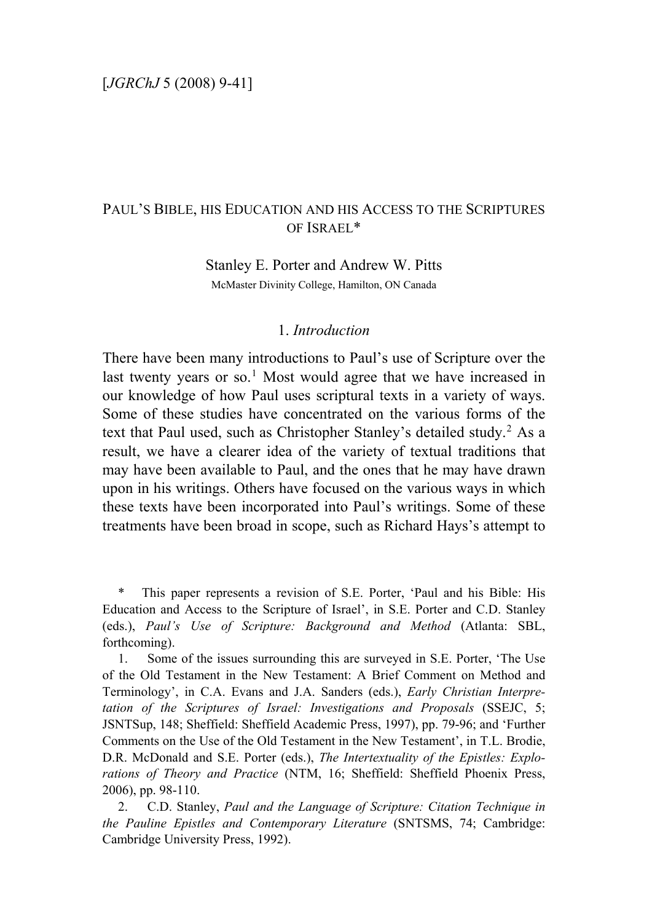# PAUL'S BIBLE, HIS EDUCATION AND HIS ACCESS TO THE SCRIPTURES OF ISRAEL\*

Stanley E. Porter and Andrew W. Pitts McMaster Divinity College, Hamilton, ON Canada

## 1. *Introduction*

There have been many introductions to Paul's use of Scripture over the last twenty years or so.<sup>[1](#page-0-0)</sup> Most would agree that we have increased in our knowledge of how Paul uses scriptural texts in a variety of ways. Some of these studies have concentrated on the various forms of the text that Paul used, such as Christopher Stanley's detailed study.<sup>[2](#page-0-1)</sup> As a result, we have a clearer idea of the variety of textual traditions that may have been available to Paul, and the ones that he may have drawn upon in his writings. Others have focused on the various ways in which these texts have been incorporated into Paul's writings. Some of these treatments have been broad in scope, such as Richard Hays's attempt to

<span id="page-0-0"></span>This paper represents a revision of S.E. Porter, 'Paul and his Bible: His Education and Access to the Scripture of Israel', in S.E. Porter and C.D. Stanley (eds.), *Paul's Use of Scripture: Background and Method* (Atlanta: SBL, forthcoming).

1. Some of the issues surrounding this are surveyed in S.E. Porter, 'The Use of the Old Testament in the New Testament: A Brief Comment on Method and Terminology', in C.A. Evans and J.A. Sanders (eds.), *Early Christian Interpretation of the Scriptures of Israel: Investigations and Proposals* (SSEJC, 5; JSNTSup, 148; Sheffield: Sheffield Academic Press, 1997), pp. 79-96; and 'Further Comments on the Use of the Old Testament in the New Testament', in T.L. Brodie, D.R. McDonald and S.E. Porter (eds.), *The Intertextuality of the Epistles: Explorations of Theory and Practice* (NTM, 16; Sheffield: Sheffield Phoenix Press, 2006), pp. 98-110.

<span id="page-0-1"></span>2. C.D. Stanley, *Paul and the Language of Scripture: Citation Technique in the Pauline Epistles and Contemporary Literature* (SNTSMS, 74; Cambridge: Cambridge University Press, 1992).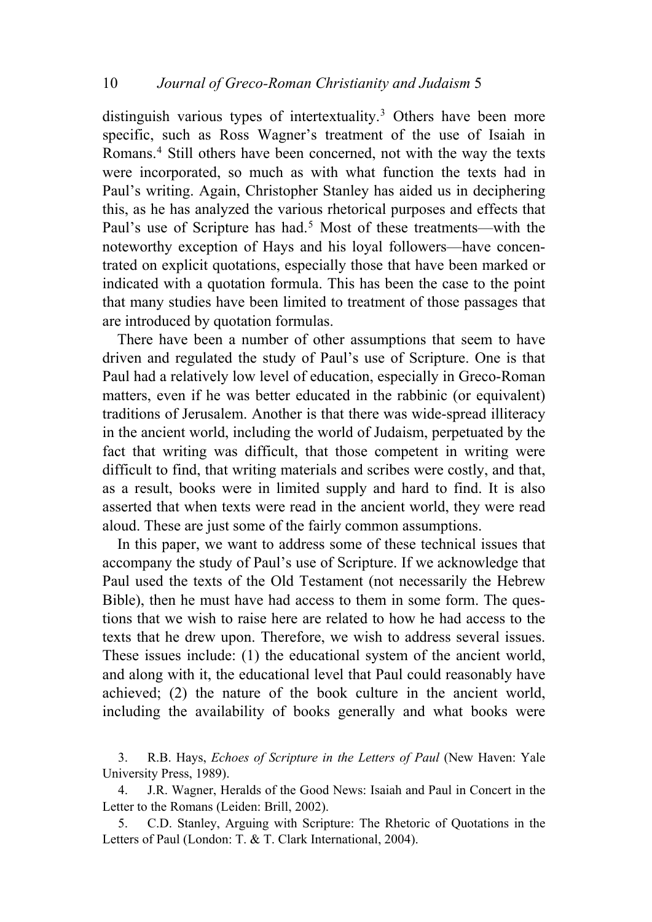distinguish various types of intertextuality.<sup>[3](#page-1-0)</sup> Others have been more specific, such as Ross Wagner's treatment of the use of Isaiah in Romans.<sup>[4](#page-1-1)</sup> Still others have been concerned, not with the way the texts were incorporated, so much as with what function the texts had in Paul's writing. Again, Christopher Stanley has aided us in deciphering this, as he has analyzed the various rhetorical purposes and effects that Paul's use of Scripture has had.<sup>[5](#page-1-2)</sup> Most of these treatments—with the noteworthy exception of Hays and his loyal followers—have concentrated on explicit quotations, especially those that have been marked or indicated with a quotation formula. This has been the case to the point that many studies have been limited to treatment of those passages that are introduced by quotation formulas.

There have been a number of other assumptions that seem to have driven and regulated the study of Paul's use of Scripture. One is that Paul had a relatively low level of education, especially in Greco-Roman matters, even if he was better educated in the rabbinic (or equivalent) traditions of Jerusalem. Another is that there was wide-spread illiteracy in the ancient world, including the world of Judaism, perpetuated by the fact that writing was difficult, that those competent in writing were difficult to find, that writing materials and scribes were costly, and that, as a result, books were in limited supply and hard to find. It is also asserted that when texts were read in the ancient world, they were read aloud. These are just some of the fairly common assumptions.

In this paper, we want to address some of these technical issues that accompany the study of Paul's use of Scripture. If we acknowledge that Paul used the texts of the Old Testament (not necessarily the Hebrew Bible), then he must have had access to them in some form. The questions that we wish to raise here are related to how he had access to the texts that he drew upon. Therefore, we wish to address several issues. These issues include: (1) the educational system of the ancient world, and along with it, the educational level that Paul could reasonably have achieved; (2) the nature of the book culture in the ancient world, including the availability of books generally and what books were

<span id="page-1-0"></span>3. R.B. Hays, *Echoes of Scripture in the Letters of Paul* (New Haven: Yale University Press, 1989).

<span id="page-1-1"></span>4. J.R. Wagner, Heralds of the Good News: Isaiah and Paul in Concert in the Letter to the Romans (Leiden: Brill, 2002).

<span id="page-1-2"></span>5. C.D. Stanley, Arguing with Scripture: The Rhetoric of Quotations in the Letters of Paul (London: T. & T. Clark International, 2004).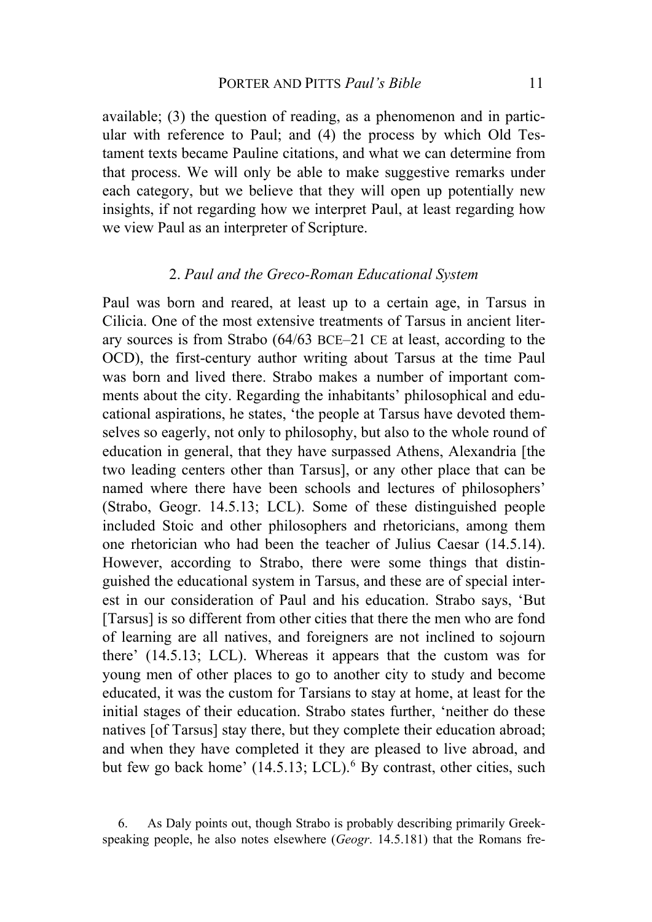available; (3) the question of reading, as a phenomenon and in particular with reference to Paul; and (4) the process by which Old Testament texts became Pauline citations, and what we can determine from that process. We will only be able to make suggestive remarks under each category, but we believe that they will open up potentially new insights, if not regarding how we interpret Paul, at least regarding how we view Paul as an interpreter of Scripture.

### 2. *Paul and the Greco-Roman Educational System*

Paul was born and reared, at least up to a certain age, in Tarsus in Cilicia. One of the most extensive treatments of Tarsus in ancient literary sources is from Strabo (64/63 BCE–21 CE at least, according to the OCD), the first-century author writing about Tarsus at the time Paul was born and lived there. Strabo makes a number of important comments about the city. Regarding the inhabitants' philosophical and educational aspirations, he states, 'the people at Tarsus have devoted themselves so eagerly, not only to philosophy, but also to the whole round of education in general, that they have surpassed Athens, Alexandria [the two leading centers other than Tarsus], or any other place that can be named where there have been schools and lectures of philosophers' (Strabo, Geogr. 14.5.13; LCL). Some of these distinguished people included Stoic and other philosophers and rhetoricians, among them one rhetorician who had been the teacher of Julius Caesar (14.5.14). However, according to Strabo, there were some things that distinguished the educational system in Tarsus, and these are of special interest in our consideration of Paul and his education. Strabo says, 'But [Tarsus] is so different from other cities that there the men who are fond of learning are all natives, and foreigners are not inclined to sojourn there' (14.5.13; LCL). Whereas it appears that the custom was for young men of other places to go to another city to study and become educated, it was the custom for Tarsians to stay at home, at least for the initial stages of their education. Strabo states further, 'neither do these natives [of Tarsus] stay there, but they complete their education abroad; and when they have completed it they are pleased to live abroad, and but few go back home'  $(14.5.13; LCL)$ .<sup>[6](#page-2-0)</sup> By contrast, other cities, such

<span id="page-2-0"></span><sup>6.</sup> As Daly points out, though Strabo is probably describing primarily Greekspeaking people, he also notes elsewhere (*Geogr*. 14.5.181) that the Romans fre-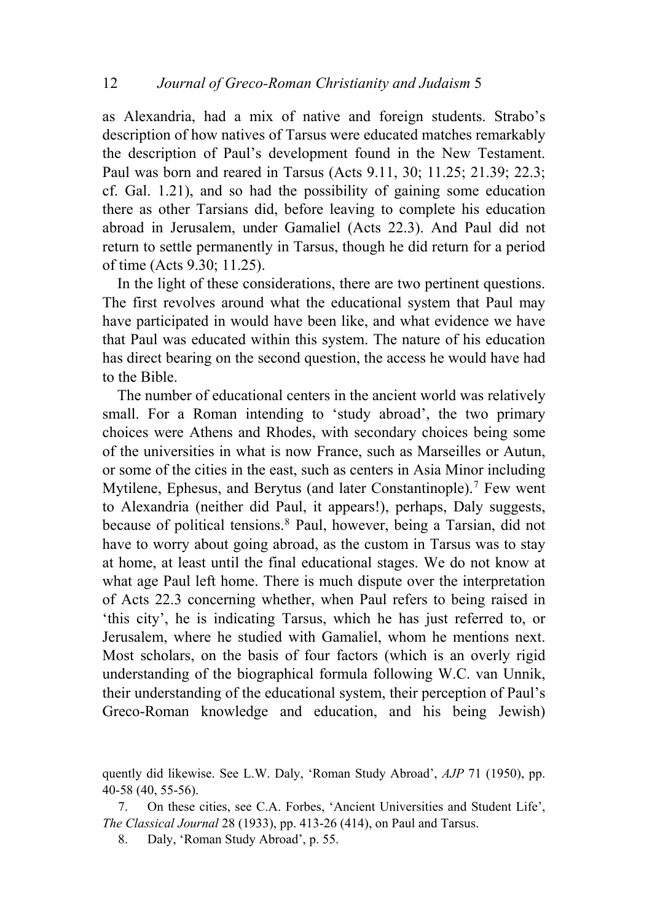as Alexandria, had a mix of native and foreign students. Strabo's description of how natives of Tarsus were educated matches remarkably the description of Paul's development found in the New Testament. Paul was born and reared in Tarsus (Acts 9.11, 30; 11.25; 21.39; 22.3; cf. Gal. 1.21), and so had the possibility of gaining some education there as other Tarsians did, before leaving to complete his education abroad in Jerusalem, under Gamaliel (Acts 22.3). And Paul did not return to settle permanently in Tarsus, though he did return for a period of time (Acts 9.30; 11.25).

In the light of these considerations, there are two pertinent questions. The first revolves around what the educational system that Paul may have participated in would have been like, and what evidence we have that Paul was educated within this system. The nature of his education has direct bearing on the second question, the access he would have had to the Bible.

The number of educational centers in the ancient world was relatively small. For a Roman intending to 'study abroad', the two primary choices were Athens and Rhodes, with secondary choices being some of the universities in what is now France, such as Marseilles or Autun, or some of the cities in the east, such as centers in Asia Minor including Mytilene, Ephesus, and Berytus (and later Constantinople).<sup>[7](#page-3-0)</sup> Few went to Alexandria (neither did Paul, it appears!), perhaps, Daly suggests, because of political tensions.[8](#page-3-1) Paul, however, being a Tarsian, did not have to worry about going abroad, as the custom in Tarsus was to stay at home, at least until the final educational stages. We do not know at what age Paul left home. There is much dispute over the interpretation of Acts 22.3 concerning whether, when Paul refers to being raised in 'this city', he is indicating Tarsus, which he has just referred to, or Jerusalem, where he studied with Gamaliel, whom he mentions next. Most scholars, on the basis of four factors (which is an overly rigid understanding of the biographical formula following W.C. van Unnik, their understanding of the educational system, their perception of Paul's Greco-Roman knowledge and education, and his being Jewish)

quently did likewise. See L.W. Daly, 'Roman Study Abroad', *AJP* 71 (1950), pp. 40-58 (40, 55-56).

<span id="page-3-1"></span><span id="page-3-0"></span>7. On these cities, see C.A. Forbes, 'Ancient Universities and Student Life', *The Classical Journal* 28 (1933), pp. 413-26 (414), on Paul and Tarsus.

8. Daly, 'Roman Study Abroad', p. 55.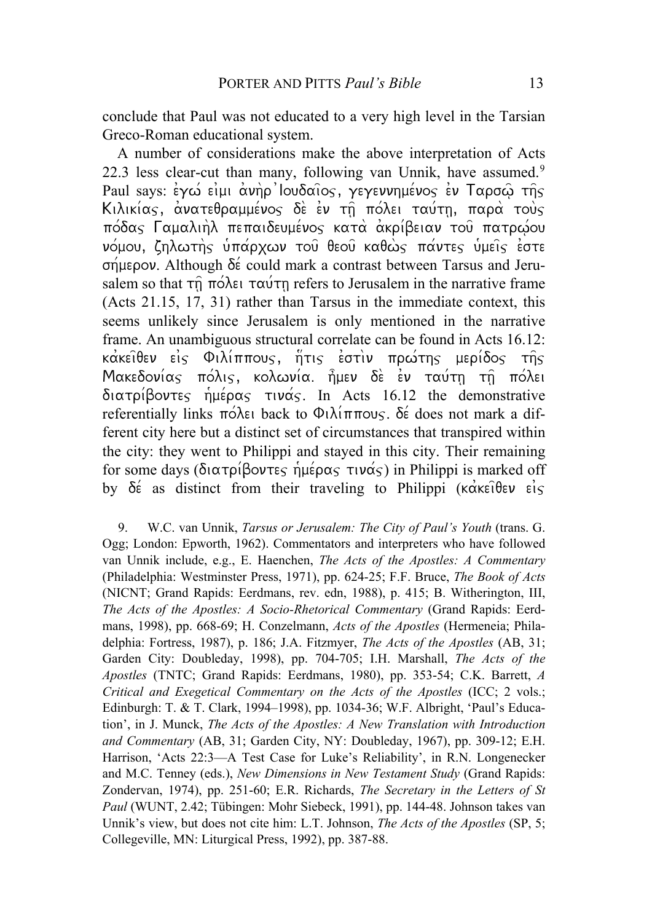conclude that Paul was not educated to a very high level in the Tarsian Greco-Roman educational system.

A number of considerations make the above interpretation of Acts 22.3 less clear-cut than many, following van Unnik, have assumed.<sup>[9](#page-4-0)</sup> Paul says:  $\epsilon y \omega \epsilon \nu \mu \alpha \nu \rho'$ loudaios,  $\gamma \epsilon y \epsilon \nu \nu \eta \mu \epsilon \nu \sigma \gamma \epsilon \nu$  Tapo $\omega \tau \eta \gamma$ Kιλικίας, ανατεθραμμένος δε εν τη πόλει ταύτη, παρά τους  $\pi$ όδας Γαμαλιήλ πεπαιδευμένος κατά ακρίβειαν του πατρώου νόμου, ζηλωτής ύπάρχων του θεου καθώς πάντες υμείς έστε  $\sigma$ Heron. Although  $\delta \acute{\epsilon}$  could mark a contrast between Tarsus and Jerusalem so that  $\tau\hat{n}$   $\pi\acute{o}\lambda\epsilon\iota$   $\tau\alpha\acute{o}\tau\eta$  refers to Jerusalem in the narrative frame (Acts 21.15, 17, 31) rather than Tarsus in the immediate context, this seems unlikely since Jerusalem is only mentioned in the narrative frame. An unambiguous structural correlate can be found in Acts 16.12:  $\kappa$ ακείθεν είς Φιλίππους, ήτις έστιν πρώτης μερίδος της  $M$ ακεδονίας πόλις, κολωνία ήμεν δε εν ταύτη τη πόλει  $\delta$ ιατρίβοντες ημέρας τινάς. In Acts 16.12 the demonstrative referentially links  $\pi \circ \lambda \in \mathfrak{b}$  back to  $\Phi \cup \lambda \circ \pi \circ \pi \circ \lambda$  does not mark a different city here but a distinct set of circumstances that transpired within the city: they went to Philippi and stayed in this city. Their remaining for some days (διατρίβοντες ήμέρας τινάς) in Philippi is marked off by  $\delta \acute{\epsilon}$  as distinct from their traveling to Philippi ( $\kappa \acute{\alpha} \kappa \epsilon \hat{\iota} \theta \epsilon \nu \epsilon \acute{\iota} \varsigma$ 

<span id="page-4-0"></span>9. W.C. van Unnik, *Tarsus or Jerusalem: The City of Paul's Youth* (trans. G. Ogg; London: Epworth, 1962). Commentators and interpreters who have followed van Unnik include, e.g., E. Haenchen, *The Acts of the Apostles: A Commentary* (Philadelphia: Westminster Press, 1971), pp. 624-25; F.F. Bruce, *The Book of Acts* (NICNT; Grand Rapids: Eerdmans, rev. edn, 1988), p. 415; B. Witherington, III, *The Acts of the Apostles: A Socio-Rhetorical Commentary* (Grand Rapids: Eerdmans, 1998), pp. 668-69; H. Conzelmann, *Acts of the Apostles* (Hermeneia; Philadelphia: Fortress, 1987), p. 186; J.A. Fitzmyer, *The Acts of the Apostles* (AB, 31; Garden City: Doubleday, 1998), pp. 704-705; I.H. Marshall, *The Acts of the Apostles* (TNTC; Grand Rapids: Eerdmans, 1980), pp. 353-54; C.K. Barrett, *A Critical and Exegetical Commentary on the Acts of the Apostles* (ICC; 2 vols.; Edinburgh: T. & T. Clark, 1994–1998), pp. 1034-36; W.F. Albright, 'Paul's Education', in J. Munck, *The Acts of the Apostles: A New Translation with Introduction and Commentary* (AB, 31; Garden City, NY: Doubleday, 1967), pp. 309-12; E.H. Harrison, 'Acts 22:3—A Test Case for Luke's Reliability', in R.N. Longenecker and M.C. Tenney (eds.), *New Dimensions in New Testament Study* (Grand Rapids: Zondervan, 1974), pp. 251-60; E.R. Richards, *The Secretary in the Letters of St Paul* (WUNT, 2.42; Tübingen: Mohr Siebeck, 1991), pp. 144-48. Johnson takes van Unnik's view, but does not cite him: L.T. Johnson, *The Acts of the Apostles* (SP, 5; Collegeville, MN: Liturgical Press, 1992), pp. 387-88.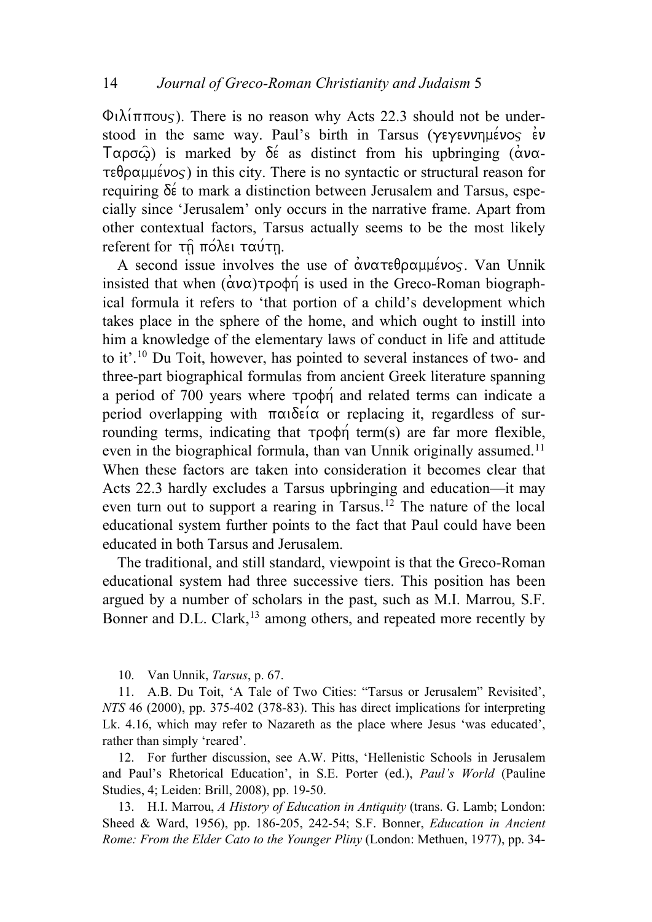$\Phi$  $\lambda$ ( $\pi$ πους). There is no reason why Acts 22.3 should not be understood in the same way. Paul's birth in Tarsus ( $\gamma \in \gamma$ evunheivos ev  $T\alpha\rho\sigma\hat{\omega}$ ) is marked by  $\delta \acute{\epsilon}$  as distinct from his upbringing ( $\acute{\alpha}$ v $\alpha$ - $\tau \in \theta$  p $\alpha \mu \neq \infty$ ) in this city. There is no syntactic or structural reason for requiring  $\delta \acute{\epsilon}$  to mark a distinction between Jerusalem and Tarsus, especially since 'Jerusalem' only occurs in the narrative frame. Apart from other contextual factors, Tarsus actually seems to be the most likely referent for τη πόλει ταύτη.

A second issue involves the use of  $\alpha$  $\alpha \tau \epsilon \theta$  $\rho \alpha \mu \epsilon \nu \sigma \varsigma$ . Van Unnik insisted that when  $(\alpha \nu \alpha) \tau \rho \circ \phi \eta$  is used in the Greco-Roman biographical formula it refers to 'that portion of a child's development which takes place in the sphere of the home, and which ought to instill into him a knowledge of the elementary laws of conduct in life and attitude to it'.[10](#page-5-0) Du Toit, however, has pointed to several instances of two- and three-part biographical formulas from ancient Greek literature spanning a period of 700 years where  $\tau \rho \circ \phi \eta$  and related terms can indicate a period overlapping with  $\pi\alpha\delta\epsilon i\alpha$  or replacing it, regardless of surrounding terms, indicating that  $\tau \rho \circ \phi_n$  term(s) are far more flexible, even in the biographical formula, than van Unnik originally assumed.<sup>[11](#page-5-1)</sup> When these factors are taken into consideration it becomes clear that Acts 22.3 hardly excludes a Tarsus upbringing and education—it may even turn out to support a rearing in Tarsus.<sup>[12](#page-5-2)</sup> The nature of the local educational system further points to the fact that Paul could have been educated in both Tarsus and Jerusalem.

The traditional, and still standard, viewpoint is that the Greco-Roman educational system had three successive tiers. This position has been argued by a number of scholars in the past, such as M.I. Marrou, S.F. Bonner and D.L. Clark,<sup>[13](#page-5-3)</sup> among others, and repeated more recently by

10. Van Unnik, *Tarsus*, p. 67.

<span id="page-5-1"></span><span id="page-5-0"></span>11. A.B. Du Toit, 'A Tale of Two Cities: "Tarsus or Jerusalem" Revisited', *NTS* 46 (2000), pp. 375-402 (378-83). This has direct implications for interpreting Lk. 4.16, which may refer to Nazareth as the place where Jesus 'was educated', rather than simply 'reared'.

<span id="page-5-2"></span>12. For further discussion, see A.W. Pitts, 'Hellenistic Schools in Jerusalem and Paul's Rhetorical Education', in S.E. Porter (ed.), *Paul's World* (Pauline Studies, 4; Leiden: Brill, 2008), pp. 19-50.

<span id="page-5-3"></span>13. H.I. Marrou, *A History of Education in Antiquity* (trans. G. Lamb; London: Sheed & Ward, 1956), pp. 186-205, 242-54; S.F. Bonner, *Education in Ancient Rome: From the Elder Cato to the Younger Pliny* (London: Methuen, 1977), pp. 34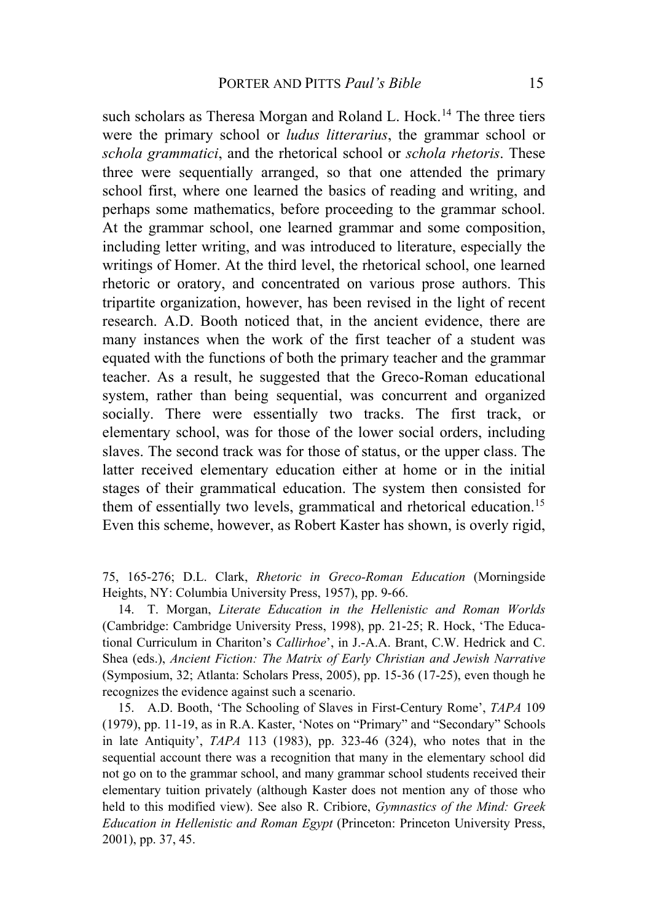such scholars as Theresa Morgan and Roland L. Hock.<sup>[14](#page-6-0)</sup> The three tiers were the primary school or *ludus litterarius*, the grammar school or *schola grammatici*, and the rhetorical school or *schola rhetoris*. These three were sequentially arranged, so that one attended the primary school first, where one learned the basics of reading and writing, and perhaps some mathematics, before proceeding to the grammar school. At the grammar school, one learned grammar and some composition, including letter writing, and was introduced to literature, especially the writings of Homer. At the third level, the rhetorical school, one learned rhetoric or oratory, and concentrated on various prose authors. This tripartite organization, however, has been revised in the light of recent research. A.D. Booth noticed that, in the ancient evidence, there are many instances when the work of the first teacher of a student was equated with the functions of both the primary teacher and the grammar teacher. As a result, he suggested that the Greco-Roman educational system, rather than being sequential, was concurrent and organized socially. There were essentially two tracks. The first track, or elementary school, was for those of the lower social orders, including slaves. The second track was for those of status, or the upper class. The latter received elementary education either at home or in the initial stages of their grammatical education. The system then consisted for them of essentially two levels, grammatical and rhetorical education.<sup>[15](#page-6-1)</sup> Even this scheme, however, as Robert Kaster has shown, is overly rigid,

75, 165-276; D.L. Clark, *Rhetoric in Greco-Roman Education* (Morningside Heights, NY: Columbia University Press, 1957), pp. 9-66.

<span id="page-6-0"></span>14. T. Morgan, *Literate Education in the Hellenistic and Roman Worlds* (Cambridge: Cambridge University Press, 1998), pp. 21-25; R. Hock, 'The Educational Curriculum in Chariton's *Callirhoe*', in J.-A.A. Brant, C.W. Hedrick and C. Shea (eds.), *Ancient Fiction: The Matrix of Early Christian and Jewish Narrative* (Symposium, 32; Atlanta: Scholars Press, 2005), pp. 15-36 (17-25), even though he recognizes the evidence against such a scenario.

<span id="page-6-1"></span>15. A.D. Booth, 'The Schooling of Slaves in First-Century Rome', *TAPA* 109 (1979), pp. 11-19, as in R.A. Kaster, 'Notes on "Primary" and "Secondary" Schools in late Antiquity', *TAPA* 113 (1983), pp. 323-46 (324), who notes that in the sequential account there was a recognition that many in the elementary school did not go on to the grammar school, and many grammar school students received their elementary tuition privately (although Kaster does not mention any of those who held to this modified view). See also R. Cribiore, *Gymnastics of the Mind: Greek Education in Hellenistic and Roman Egypt* (Princeton: Princeton University Press, 2001), pp. 37, 45.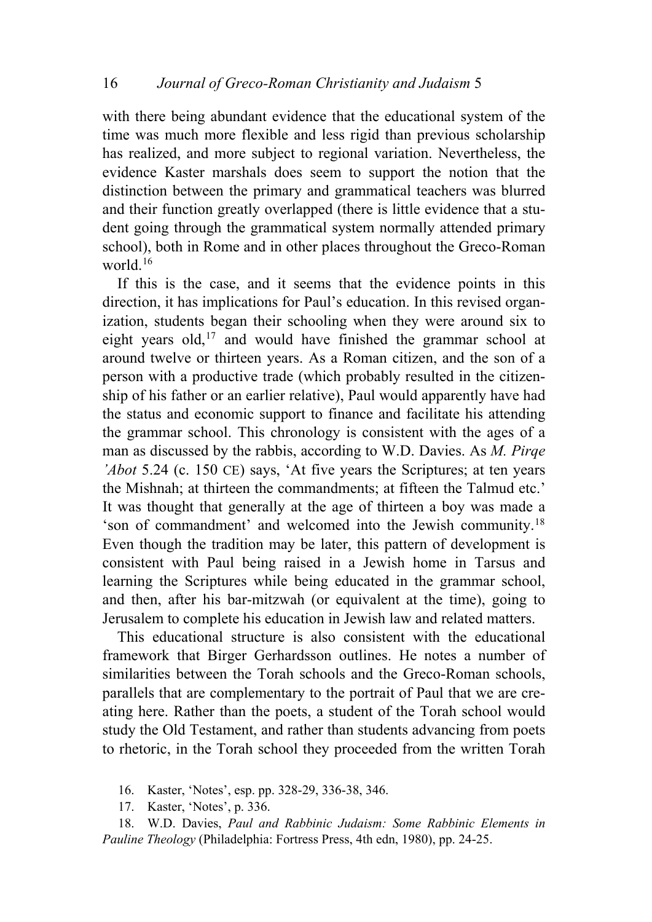with there being abundant evidence that the educational system of the time was much more flexible and less rigid than previous scholarship has realized, and more subject to regional variation. Nevertheless, the evidence Kaster marshals does seem to support the notion that the distinction between the primary and grammatical teachers was blurred and their function greatly overlapped (there is little evidence that a student going through the grammatical system normally attended primary school), both in Rome and in other places throughout the Greco-Roman world $16$ 

If this is the case, and it seems that the evidence points in this direction, it has implications for Paul's education. In this revised organization, students began their schooling when they were around six to eight years old,<sup>[17](#page-7-1)</sup> and would have finished the grammar school at around twelve or thirteen years. As a Roman citizen, and the son of a person with a productive trade (which probably resulted in the citizenship of his father or an earlier relative), Paul would apparently have had the status and economic support to finance and facilitate his attending the grammar school. This chronology is consistent with the ages of a man as discussed by the rabbis, according to W.D. Davies. As *M. Pirqe 'Abot* 5.24 (c. 150 CE) says, 'At five years the Scriptures; at ten years the Mishnah; at thirteen the commandments; at fifteen the Talmud etc.' It was thought that generally at the age of thirteen a boy was made a 'son of commandment' and welcomed into the Jewish community.[18](#page-7-2) Even though the tradition may be later, this pattern of development is consistent with Paul being raised in a Jewish home in Tarsus and learning the Scriptures while being educated in the grammar school, and then, after his bar-mitzwah (or equivalent at the time), going to Jerusalem to complete his education in Jewish law and related matters.

This educational structure is also consistent with the educational framework that Birger Gerhardsson outlines. He notes a number of similarities between the Torah schools and the Greco-Roman schools, parallels that are complementary to the portrait of Paul that we are creating here. Rather than the poets, a student of the Torah school would study the Old Testament, and rather than students advancing from poets to rhetoric, in the Torah school they proceeded from the written Torah

- 16. Kaster, 'Notes', esp. pp. 328-29, 336-38, 346.
- 17. Kaster, 'Notes', p. 336.
- <span id="page-7-2"></span><span id="page-7-1"></span><span id="page-7-0"></span>18. W.D. Davies, *Paul and Rabbinic Judaism: Some Rabbinic Elements in Pauline Theology* (Philadelphia: Fortress Press, 4th edn, 1980), pp. 24-25.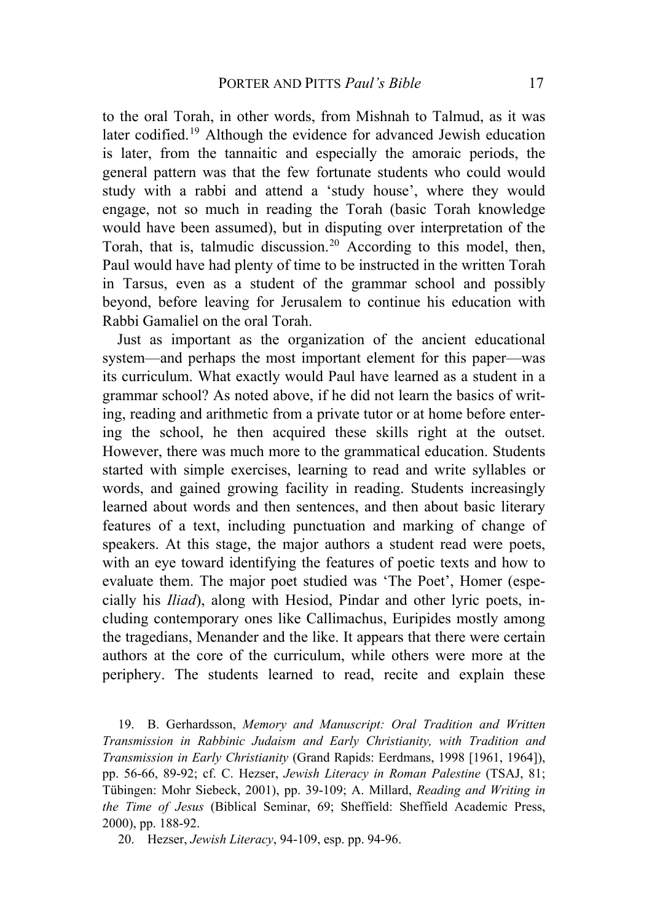to the oral Torah, in other words, from Mishnah to Talmud, as it was later codified.[19](#page-8-0) Although the evidence for advanced Jewish education is later, from the tannaitic and especially the amoraic periods, the general pattern was that the few fortunate students who could would study with a rabbi and attend a 'study house', where they would engage, not so much in reading the Torah (basic Torah knowledge would have been assumed), but in disputing over interpretation of the Torah, that is, talmudic discussion.<sup>[20](#page-8-1)</sup> According to this model, then, Paul would have had plenty of time to be instructed in the written Torah in Tarsus, even as a student of the grammar school and possibly beyond, before leaving for Jerusalem to continue his education with Rabbi Gamaliel on the oral Torah.

Just as important as the organization of the ancient educational system—and perhaps the most important element for this paper—was its curriculum. What exactly would Paul have learned as a student in a grammar school? As noted above, if he did not learn the basics of writing, reading and arithmetic from a private tutor or at home before entering the school, he then acquired these skills right at the outset. However, there was much more to the grammatical education. Students started with simple exercises, learning to read and write syllables or words, and gained growing facility in reading. Students increasingly learned about words and then sentences, and then about basic literary features of a text, including punctuation and marking of change of speakers. At this stage, the major authors a student read were poets, with an eye toward identifying the features of poetic texts and how to evaluate them. The major poet studied was 'The Poet', Homer (especially his *Iliad*), along with Hesiod, Pindar and other lyric poets, including contemporary ones like Callimachus, Euripides mostly among the tragedians, Menander and the like. It appears that there were certain authors at the core of the curriculum, while others were more at the periphery. The students learned to read, recite and explain these

<span id="page-8-0"></span>19. B. Gerhardsson, *Memory and Manuscript: Oral Tradition and Written Transmission in Rabbinic Judaism and Early Christianity, with Tradition and Transmission in Early Christianity* (Grand Rapids: Eerdmans, 1998 [1961, 1964]), pp. 56-66, 89-92; cf. C. Hezser, *Jewish Literacy in Roman Palestine* (TSAJ, 81; Tübingen: Mohr Siebeck, 2001), pp. 39-109; A. Millard, *Reading and Writing in the Time of Jesus* (Biblical Seminar, 69; Sheffield: Sheffield Academic Press, 2000), pp. 188-92.

<span id="page-8-1"></span>20. Hezser, *Jewish Literacy*, 94-109, esp. pp. 94-96.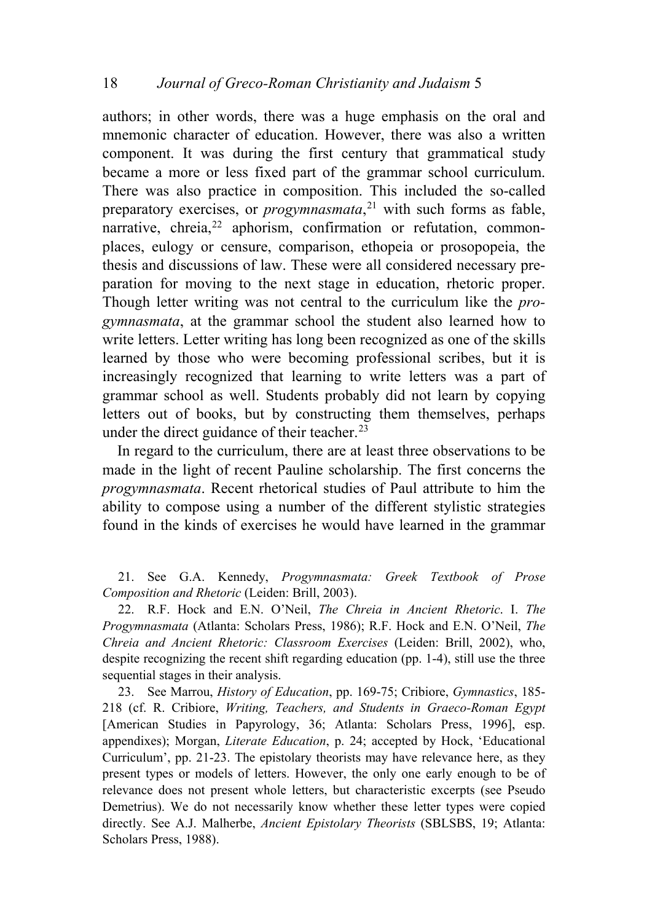authors; in other words, there was a huge emphasis on the oral and mnemonic character of education. However, there was also a written component. It was during the first century that grammatical study became a more or less fixed part of the grammar school curriculum. There was also practice in composition. This included the so-called preparatory exercises, or *progymnasmata*, [21](#page-9-0) with such forms as fable, narrative, chreia,<sup>[22](#page-9-1)</sup> aphorism, confirmation or refutation, commonplaces, eulogy or censure, comparison, ethopeia or prosopopeia, the thesis and discussions of law. These were all considered necessary preparation for moving to the next stage in education, rhetoric proper. Though letter writing was not central to the curriculum like the *progymnasmata*, at the grammar school the student also learned how to write letters. Letter writing has long been recognized as one of the skills learned by those who were becoming professional scribes, but it is increasingly recognized that learning to write letters was a part of grammar school as well. Students probably did not learn by copying letters out of books, but by constructing them themselves, perhaps under the direct guidance of their teacher.<sup>[23](#page-9-2)</sup>

In regard to the curriculum, there are at least three observations to be made in the light of recent Pauline scholarship. The first concerns the *progymnasmata*. Recent rhetorical studies of Paul attribute to him the ability to compose using a number of the different stylistic strategies found in the kinds of exercises he would have learned in the grammar

<span id="page-9-0"></span>21. See G.A. Kennedy, *Progymnasmata: Greek Textbook of Prose Composition and Rhetoric* (Leiden: Brill, 2003).

<span id="page-9-1"></span>22. R.F. Hock and E.N. O'Neil, *The Chreia in Ancient Rhetoric*. I. *The Progymnasmata* (Atlanta: Scholars Press, 1986); R.F. Hock and E.N. O'Neil, *The Chreia and Ancient Rhetoric: Classroom Exercises* (Leiden: Brill, 2002), who, despite recognizing the recent shift regarding education (pp. 1-4), still use the three sequential stages in their analysis.

<span id="page-9-2"></span>23. See Marrou, *History of Education*, pp. 169-75; Cribiore, *Gymnastics*, 185- 218 (cf. R. Cribiore, *Writing, Teachers, and Students in Graeco-Roman Egypt* [American Studies in Papyrology, 36; Atlanta: Scholars Press, 1996], esp. appendixes); Morgan, *Literate Education*, p. 24; accepted by Hock, 'Educational Curriculum', pp. 21-23. The epistolary theorists may have relevance here, as they present types or models of letters. However, the only one early enough to be of relevance does not present whole letters, but characteristic excerpts (see Pseudo Demetrius). We do not necessarily know whether these letter types were copied directly. See A.J. Malherbe, *Ancient Epistolary Theorists* (SBLSBS, 19; Atlanta: Scholars Press, 1988).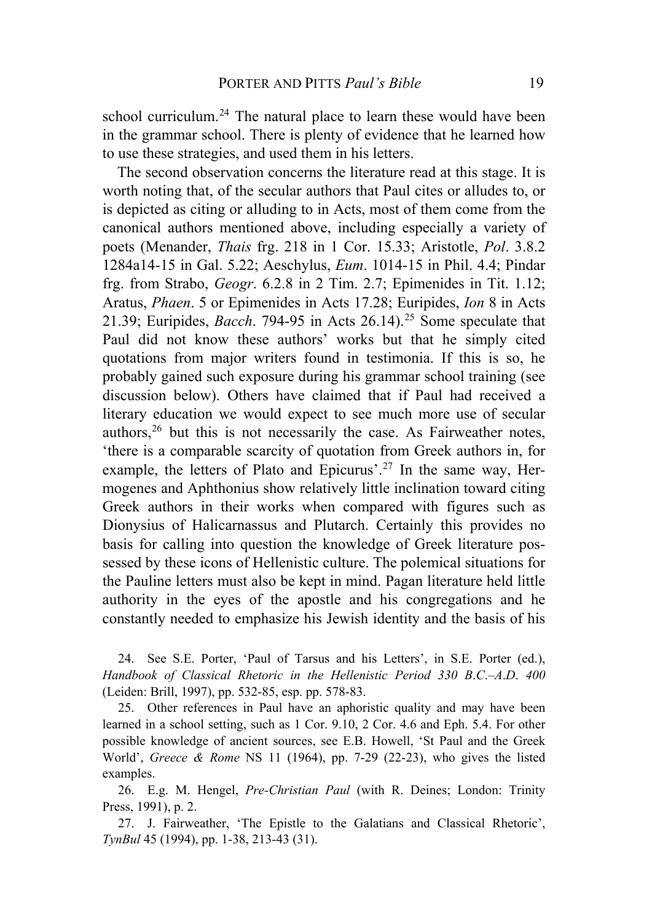school curriculum.<sup>[24](#page-10-0)</sup> The natural place to learn these would have been in the grammar school. There is plenty of evidence that he learned how to use these strategies, and used them in his letters.

The second observation concerns the literature read at this stage. It is worth noting that, of the secular authors that Paul cites or alludes to, or is depicted as citing or alluding to in Acts, most of them come from the canonical authors mentioned above, including especially a variety of poets (Menander, *Thais* frg. 218 in 1 Cor. 15.33; Aristotle, *Pol*. 3.8.2 1284a14-15 in Gal. 5.22; Aeschylus, *Eum*. 1014-15 in Phil. 4.4; Pindar frg. from Strabo, *Geogr*. 6.2.8 in 2 Tim. 2.7; Epimenides in Tit. 1.12; Aratus, *Phaen*. 5 or Epimenides in Acts 17.28; Euripides, *Ion* 8 in Acts 21.39; Euripides, *Bacch*. 794-95 in Acts 26.14).[25](#page-10-1) Some speculate that Paul did not know these authors' works but that he simply cited quotations from major writers found in testimonia. If this is so, he probably gained such exposure during his grammar school training (see discussion below). Others have claimed that if Paul had received a literary education we would expect to see much more use of secular authors,  $26$  but this is not necessarily the case. As Fairweather notes, 'there is a comparable scarcity of quotation from Greek authors in, for example, the letters of Plato and Epicurus'.<sup>[27](#page-10-3)</sup> In the same way, Hermogenes and Aphthonius show relatively little inclination toward citing Greek authors in their works when compared with figures such as Dionysius of Halicarnassus and Plutarch. Certainly this provides no basis for calling into question the knowledge of Greek literature possessed by these icons of Hellenistic culture. The polemical situations for the Pauline letters must also be kept in mind. Pagan literature held little authority in the eyes of the apostle and his congregations and he constantly needed to emphasize his Jewish identity and the basis of his

<span id="page-10-0"></span>24. See S.E. Porter, 'Paul of Tarsus and his Letters', in S.E. Porter (ed.), *Handbook of Classical Rhetoric in the Hellenistic Period 330 B*.*C*.*–A*.*D*. *400* (Leiden: Brill, 1997), pp. 532-85, esp. pp. 578-83.

<span id="page-10-1"></span>25. Other references in Paul have an aphoristic quality and may have been learned in a school setting, such as 1 Cor. 9.10, 2 Cor. 4.6 and Eph. 5.4. For other possible knowledge of ancient sources, see E.B. Howell, 'St Paul and the Greek World', *Greece & Rome* NS 11 (1964), pp. 7-29 (22-23), who gives the listed examples.

<span id="page-10-2"></span>26. E.g. M. Hengel, *Pre-Christian Paul* (with R. Deines; London: Trinity Press, 1991), p. 2.

<span id="page-10-3"></span>27. J. Fairweather, 'The Epistle to the Galatians and Classical Rhetoric', *TynBul* 45 (1994), pp. 1-38, 213-43 (31).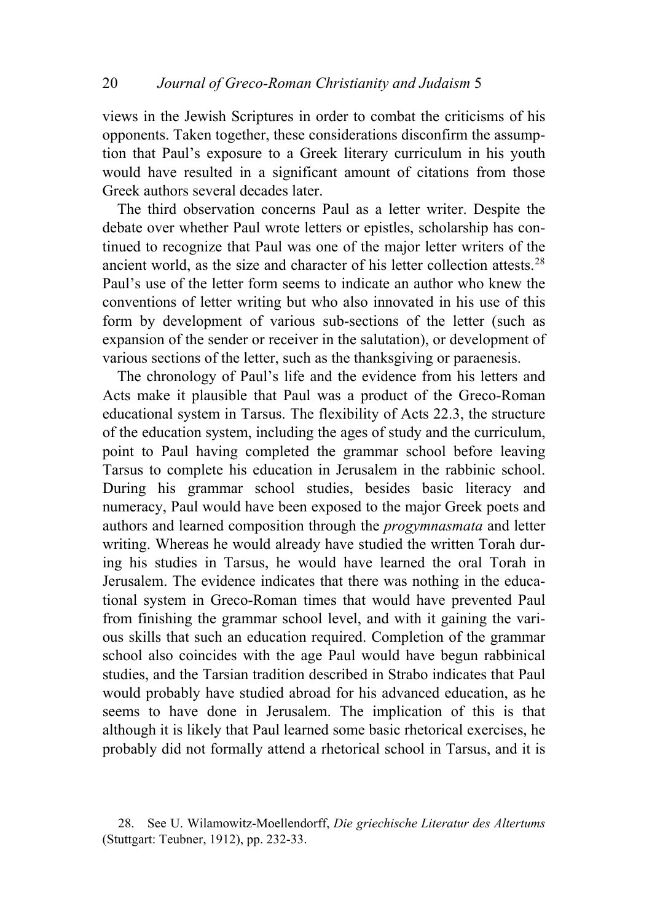views in the Jewish Scriptures in order to combat the criticisms of his opponents. Taken together, these considerations disconfirm the assumption that Paul's exposure to a Greek literary curriculum in his youth would have resulted in a significant amount of citations from those Greek authors several decades later.

The third observation concerns Paul as a letter writer. Despite the debate over whether Paul wrote letters or epistles, scholarship has continued to recognize that Paul was one of the major letter writers of the ancient world, as the size and character of his letter collection attests.[28](#page-11-0) Paul's use of the letter form seems to indicate an author who knew the conventions of letter writing but who also innovated in his use of this form by development of various sub-sections of the letter (such as expansion of the sender or receiver in the salutation), or development of various sections of the letter, such as the thanksgiving or paraenesis.

The chronology of Paul's life and the evidence from his letters and Acts make it plausible that Paul was a product of the Greco-Roman educational system in Tarsus. The flexibility of Acts 22.3, the structure of the education system, including the ages of study and the curriculum, point to Paul having completed the grammar school before leaving Tarsus to complete his education in Jerusalem in the rabbinic school. During his grammar school studies, besides basic literacy and numeracy, Paul would have been exposed to the major Greek poets and authors and learned composition through the *progymnasmata* and letter writing. Whereas he would already have studied the written Torah during his studies in Tarsus, he would have learned the oral Torah in Jerusalem. The evidence indicates that there was nothing in the educational system in Greco-Roman times that would have prevented Paul from finishing the grammar school level, and with it gaining the various skills that such an education required. Completion of the grammar school also coincides with the age Paul would have begun rabbinical studies, and the Tarsian tradition described in Strabo indicates that Paul would probably have studied abroad for his advanced education, as he seems to have done in Jerusalem. The implication of this is that although it is likely that Paul learned some basic rhetorical exercises, he probably did not formally attend a rhetorical school in Tarsus, and it is

<span id="page-11-0"></span><sup>28.</sup> See U. Wilamowitz-Moellendorff, *Die griechische Literatur des Altertums* (Stuttgart: Teubner, 1912), pp. 232-33.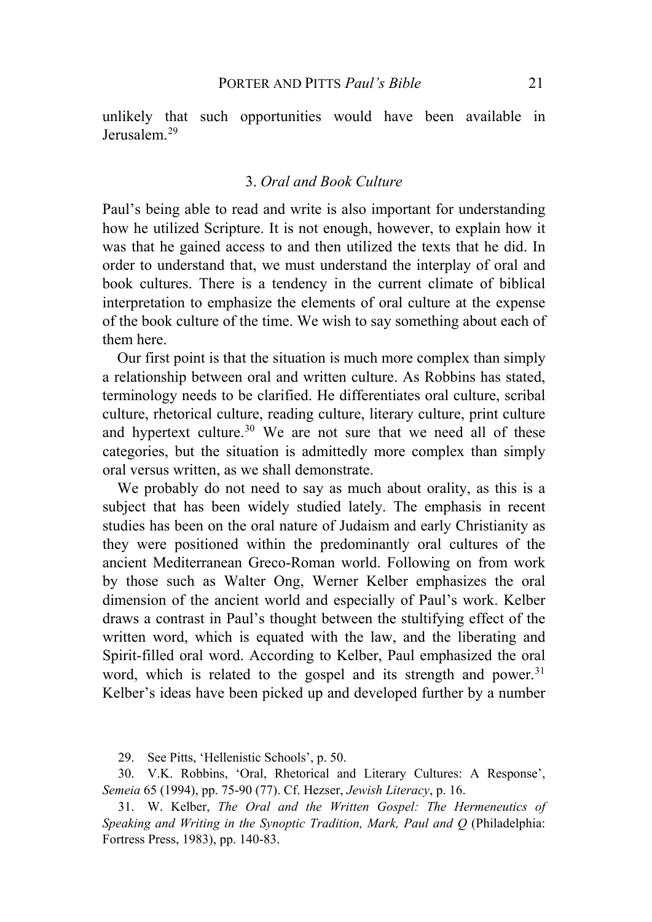unlikely that such opportunities would have been available in Jerusalem<sup>[29](#page-12-0)</sup>

#### 3. *Oral and Book Culture*

Paul's being able to read and write is also important for understanding how he utilized Scripture. It is not enough, however, to explain how it was that he gained access to and then utilized the texts that he did. In order to understand that, we must understand the interplay of oral and book cultures. There is a tendency in the current climate of biblical interpretation to emphasize the elements of oral culture at the expense of the book culture of the time. We wish to say something about each of them here.

Our first point is that the situation is much more complex than simply a relationship between oral and written culture. As Robbins has stated, terminology needs to be clarified. He differentiates oral culture, scribal culture, rhetorical culture, reading culture, literary culture, print culture and hypertext culture.<sup>[30](#page-12-1)</sup> We are not sure that we need all of these categories, but the situation is admittedly more complex than simply oral versus written, as we shall demonstrate.

We probably do not need to say as much about orality, as this is a subject that has been widely studied lately. The emphasis in recent studies has been on the oral nature of Judaism and early Christianity as they were positioned within the predominantly oral cultures of the ancient Mediterranean Greco-Roman world. Following on from work by those such as Walter Ong, Werner Kelber emphasizes the oral dimension of the ancient world and especially of Paul's work. Kelber draws a contrast in Paul's thought between the stultifying effect of the written word, which is equated with the law, and the liberating and Spirit-filled oral word. According to Kelber, Paul emphasized the oral word, which is related to the gospel and its strength and power.<sup>[31](#page-12-2)</sup> Kelber's ideas have been picked up and developed further by a number

29. See Pitts, 'Hellenistic Schools', p. 50.

<span id="page-12-1"></span><span id="page-12-0"></span>30. V.K. Robbins, 'Oral, Rhetorical and Literary Cultures: A Response', *Semeia* 65 (1994), pp. 75-90 (77). Cf. Hezser, *Jewish Literacy*, p. 16.

<span id="page-12-2"></span>31. W. Kelber, *The Oral and the Written Gospel: The Hermeneutics of Speaking and Writing in the Synoptic Tradition, Mark, Paul and Q* (Philadelphia: Fortress Press, 1983), pp. 140-83.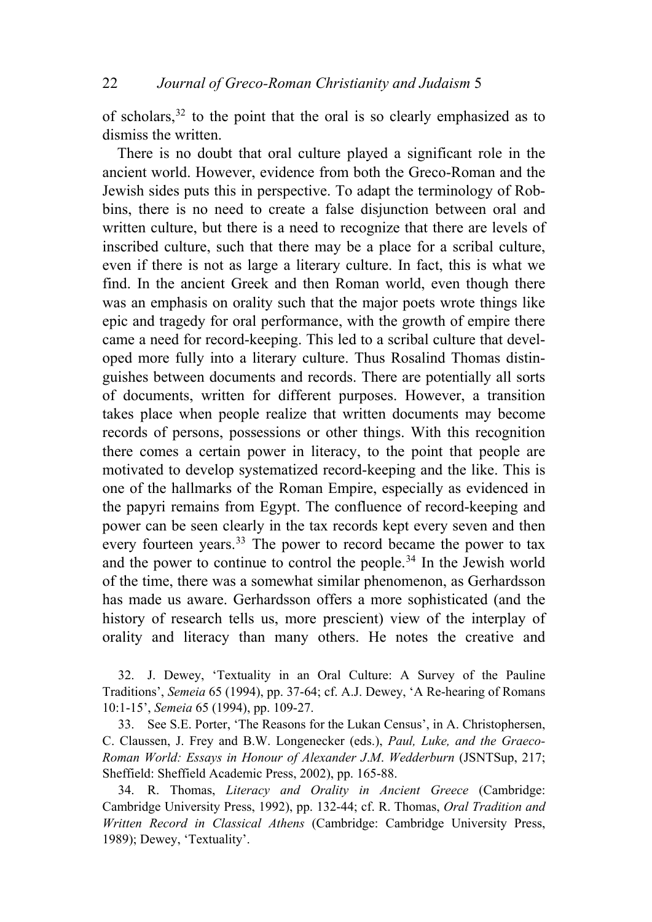of scholars,[32](#page-13-0) to the point that the oral is so clearly emphasized as to dismiss the written.

There is no doubt that oral culture played a significant role in the ancient world. However, evidence from both the Greco-Roman and the Jewish sides puts this in perspective. To adapt the terminology of Robbins, there is no need to create a false disjunction between oral and written culture, but there is a need to recognize that there are levels of inscribed culture, such that there may be a place for a scribal culture, even if there is not as large a literary culture. In fact, this is what we find. In the ancient Greek and then Roman world, even though there was an emphasis on orality such that the major poets wrote things like epic and tragedy for oral performance, with the growth of empire there came a need for record-keeping. This led to a scribal culture that developed more fully into a literary culture. Thus Rosalind Thomas distinguishes between documents and records. There are potentially all sorts of documents, written for different purposes. However, a transition takes place when people realize that written documents may become records of persons, possessions or other things. With this recognition there comes a certain power in literacy, to the point that people are motivated to develop systematized record-keeping and the like. This is one of the hallmarks of the Roman Empire, especially as evidenced in the papyri remains from Egypt. The confluence of record-keeping and power can be seen clearly in the tax records kept every seven and then every fourteen years.<sup>[33](#page-13-1)</sup> The power to record became the power to tax and the power to continue to control the people.<sup>[34](#page-13-2)</sup> In the Jewish world of the time, there was a somewhat similar phenomenon, as Gerhardsson has made us aware. Gerhardsson offers a more sophisticated (and the history of research tells us, more prescient) view of the interplay of orality and literacy than many others. He notes the creative and

<span id="page-13-0"></span>32. J. Dewey, 'Textuality in an Oral Culture: A Survey of the Pauline Traditions', *Semeia* 65 (1994), pp. 37-64; cf. A.J. Dewey, 'A Re-hearing of Romans 10:1-15', *Semeia* 65 (1994), pp. 109-27.

<span id="page-13-1"></span>33. See S.E. Porter, 'The Reasons for the Lukan Census', in A. Christophersen, C. Claussen, J. Frey and B.W. Longenecker (eds.), *Paul, Luke, and the Graeco-Roman World: Essays in Honour of Alexander J*.*M*. *Wedderburn* (JSNTSup, 217; Sheffield: Sheffield Academic Press, 2002), pp. 165-88.

<span id="page-13-2"></span>34. R. Thomas, *Literacy and Orality in Ancient Greece* (Cambridge: Cambridge University Press, 1992), pp. 132-44; cf. R. Thomas, *Oral Tradition and Written Record in Classical Athens* (Cambridge: Cambridge University Press, 1989); Dewey, 'Textuality'.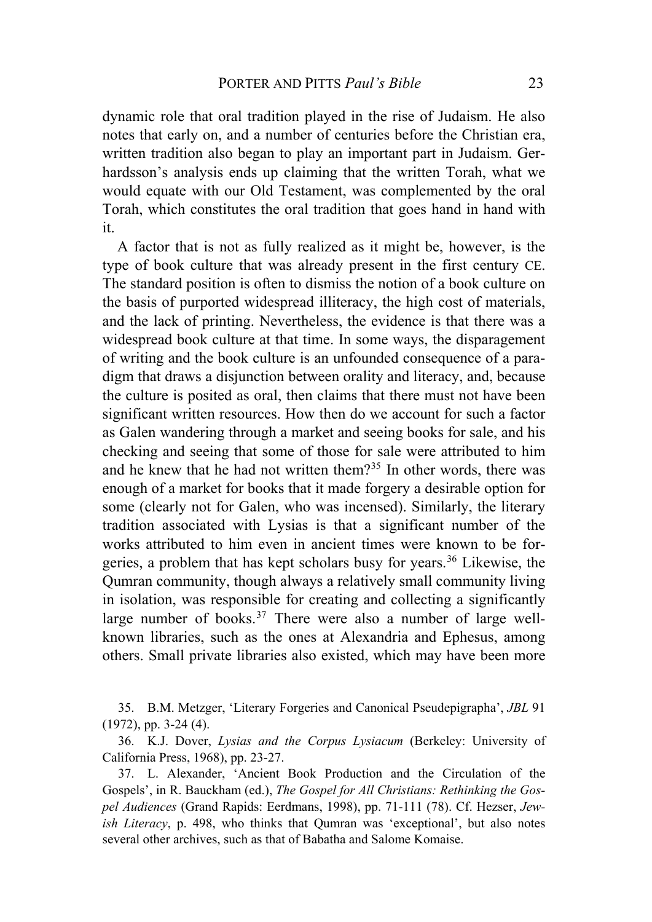dynamic role that oral tradition played in the rise of Judaism. He also notes that early on, and a number of centuries before the Christian era, written tradition also began to play an important part in Judaism. Gerhardsson's analysis ends up claiming that the written Torah, what we would equate with our Old Testament, was complemented by the oral Torah, which constitutes the oral tradition that goes hand in hand with it.

A factor that is not as fully realized as it might be, however, is the type of book culture that was already present in the first century CE. The standard position is often to dismiss the notion of a book culture on the basis of purported widespread illiteracy, the high cost of materials, and the lack of printing. Nevertheless, the evidence is that there was a widespread book culture at that time. In some ways, the disparagement of writing and the book culture is an unfounded consequence of a paradigm that draws a disjunction between orality and literacy, and, because the culture is posited as oral, then claims that there must not have been significant written resources. How then do we account for such a factor as Galen wandering through a market and seeing books for sale, and his checking and seeing that some of those for sale were attributed to him and he knew that he had not written them?[35](#page-14-0) In other words, there was enough of a market for books that it made forgery a desirable option for some (clearly not for Galen, who was incensed). Similarly, the literary tradition associated with Lysias is that a significant number of the works attributed to him even in ancient times were known to be forgeries, a problem that has kept scholars busy for years.[36](#page-14-1) Likewise, the Qumran community, though always a relatively small community living in isolation, was responsible for creating and collecting a significantly large number of books. $37$  There were also a number of large wellknown libraries, such as the ones at Alexandria and Ephesus, among others. Small private libraries also existed, which may have been more

<span id="page-14-0"></span>35. B.M. Metzger, 'Literary Forgeries and Canonical Pseudepigrapha', *JBL* 91 (1972), pp. 3-24 (4).

<span id="page-14-1"></span>36. K.J. Dover, *Lysias and the Corpus Lysiacum* (Berkeley: University of California Press, 1968), pp. 23-27.

<span id="page-14-2"></span>37. L. Alexander, 'Ancient Book Production and the Circulation of the Gospels', in R. Bauckham (ed.), *The Gospel for All Christians: Rethinking the Gospel Audiences* (Grand Rapids: Eerdmans, 1998), pp. 71-111 (78). Cf. Hezser, *Jewish Literacy*, p. 498, who thinks that Qumran was 'exceptional', but also notes several other archives, such as that of Babatha and Salome Komaise.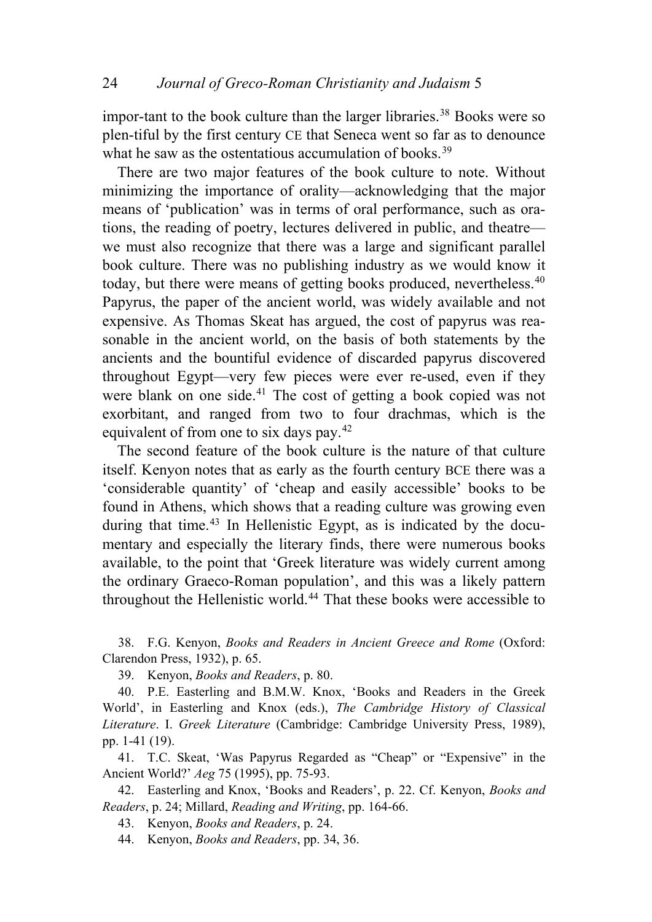impor-tant to the book culture than the larger libraries.<sup>[38](#page-15-0)</sup> Books were so plen-tiful by the first century CE that Seneca went so far as to denounce what he saw as the ostentatious accumulation of books.<sup>39</sup>

There are two major features of the book culture to note. Without minimizing the importance of orality—acknowledging that the major means of 'publication' was in terms of oral performance, such as orations, the reading of poetry, lectures delivered in public, and theatre we must also recognize that there was a large and significant parallel book culture. There was no publishing industry as we would know it today, but there were means of getting books produced, nevertheless.<sup>[40](#page-15-1)</sup> Papyrus, the paper of the ancient world, was widely available and not expensive. As Thomas Skeat has argued, the cost of papyrus was reasonable in the ancient world, on the basis of both statements by the ancients and the bountiful evidence of discarded papyrus discovered throughout Egypt—very few pieces were ever re-used, even if they were blank on one side.<sup>[41](#page-15-2)</sup> The cost of getting a book copied was not exorbitant, and ranged from two to four drachmas, which is the equivalent of from one to six days pay.[42](#page-15-3)

The second feature of the book culture is the nature of that culture itself. Kenyon notes that as early as the fourth century BCE there was a 'considerable quantity' of 'cheap and easily accessible' books to be found in Athens, which shows that a reading culture was growing even during that time.<sup>[43](#page-15-4)</sup> In Hellenistic Egypt, as is indicated by the documentary and especially the literary finds, there were numerous books available, to the point that 'Greek literature was widely current among the ordinary Graeco-Roman population', and this was a likely pattern throughout the Hellenistic world.<sup>[44](#page-15-5)</sup> That these books were accessible to

<span id="page-15-0"></span>38. F.G. Kenyon, *Books and Readers in Ancient Greece and Rome* (Oxford: Clarendon Press, 1932), p. 65.

39. Kenyon, *Books and Readers*, p. 80.

<span id="page-15-1"></span>40. P.E. Easterling and B.M.W. Knox, 'Books and Readers in the Greek World', in Easterling and Knox (eds.), *The Cambridge History of Classical Literature*. I. *Greek Literature* (Cambridge: Cambridge University Press, 1989), pp. 1-41 (19).

<span id="page-15-2"></span>41. T.C. Skeat, 'Was Papyrus Regarded as "Cheap" or "Expensive" in the Ancient World?' *Aeg* 75 (1995), pp. 75-93.

<span id="page-15-5"></span><span id="page-15-4"></span><span id="page-15-3"></span>42. Easterling and Knox, 'Books and Readers', p. 22. Cf. Kenyon, *Books and Readers*, p. 24; Millard, *Reading and Writing*, pp. 164-66.

43. Kenyon, *Books and Readers*, p. 24.

44. Kenyon, *Books and Readers*, pp. 34, 36.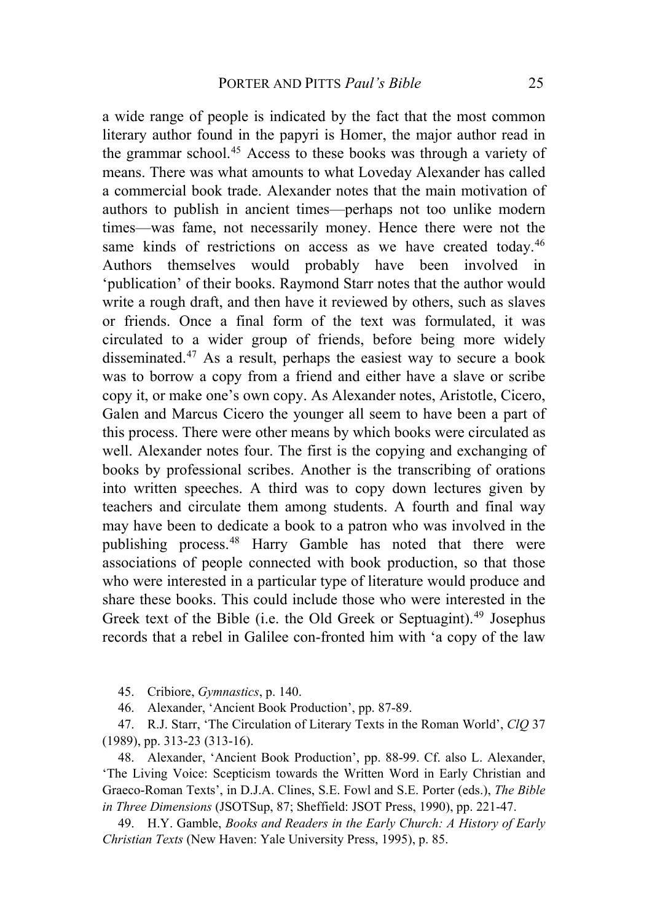a wide range of people is indicated by the fact that the most common literary author found in the papyri is Homer, the major author read in the grammar school.[45](#page-16-0) Access to these books was through a variety of means. There was what amounts to what Loveday Alexander has called a commercial book trade. Alexander notes that the main motivation of authors to publish in ancient times—perhaps not too unlike modern times—was fame, not necessarily money. Hence there were not the same kinds of restrictions on access as we have created today.<sup>[46](#page-16-1)</sup> Authors themselves would probably have been involved in 'publication' of their books. Raymond Starr notes that the author would write a rough draft, and then have it reviewed by others, such as slaves or friends. Once a final form of the text was formulated, it was circulated to a wider group of friends, before being more widely disseminated.[47](#page-16-2) As a result, perhaps the easiest way to secure a book was to borrow a copy from a friend and either have a slave or scribe copy it, or make one's own copy. As Alexander notes, Aristotle, Cicero, Galen and Marcus Cicero the younger all seem to have been a part of this process. There were other means by which books were circulated as well. Alexander notes four. The first is the copying and exchanging of books by professional scribes. Another is the transcribing of orations into written speeches. A third was to copy down lectures given by teachers and circulate them among students. A fourth and final way may have been to dedicate a book to a patron who was involved in the publishing process.[48](#page-16-3) Harry Gamble has noted that there were associations of people connected with book production, so that those who were interested in a particular type of literature would produce and share these books. This could include those who were interested in the Greek text of the Bible (i.e. the Old Greek or Septuagint).<sup>[49](#page-16-4)</sup> Josephus records that a rebel in Galilee con-fronted him with 'a copy of the law

- 45. Cribiore, *Gymnastics*, p. 140.
- 46. Alexander, 'Ancient Book Production', pp. 87-89.

<span id="page-16-2"></span><span id="page-16-1"></span><span id="page-16-0"></span>47. R.J. Starr, 'The Circulation of Literary Texts in the Roman World', *ClQ* 37 (1989), pp. 313-23 (313-16).

<span id="page-16-3"></span>48. Alexander, 'Ancient Book Production', pp. 88-99. Cf. also L. Alexander, 'The Living Voice: Scepticism towards the Written Word in Early Christian and Graeco-Roman Texts', in D.J.A. Clines, S.E. Fowl and S.E. Porter (eds.), *The Bible in Three Dimensions* (JSOTSup, 87; Sheffield: JSOT Press, 1990), pp. 221-47.

<span id="page-16-4"></span>49. H.Y. Gamble, *Books and Readers in the Early Church: A History of Early Christian Texts* (New Haven: Yale University Press, 1995), p. 85.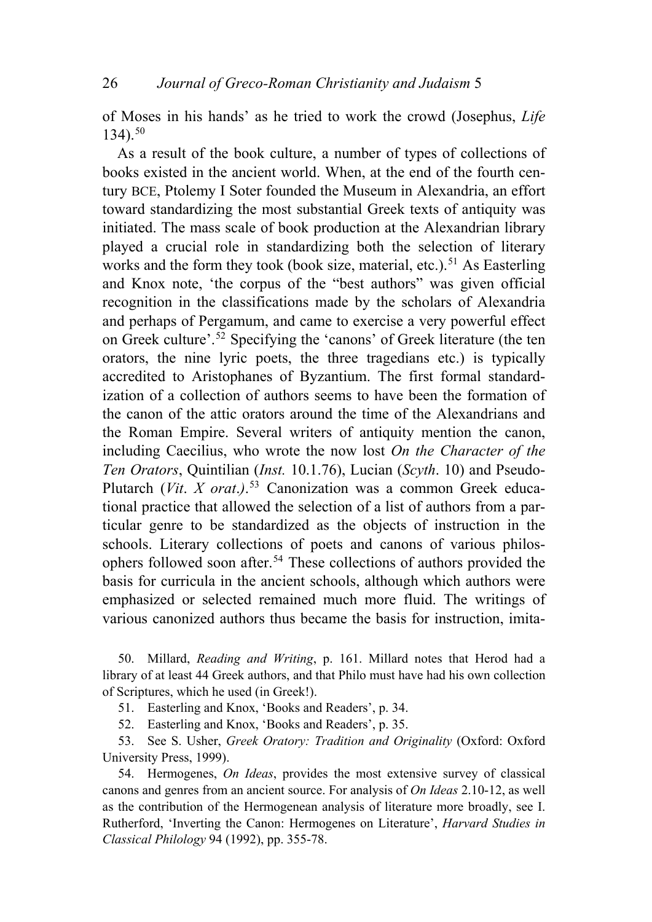of Moses in his hands' as he tried to work the crowd (Josephus, *Life* 134).[50](#page-17-0)

As a result of the book culture, a number of types of collections of books existed in the ancient world. When, at the end of the fourth century BCE, Ptolemy I Soter founded the Museum in Alexandria, an effort toward standardizing the most substantial Greek texts of antiquity was initiated. The mass scale of book production at the Alexandrian library played a crucial role in standardizing both the selection of literary works and the form they took (book size, material, etc.).<sup>[51](#page-17-1)</sup> As Easterling and Knox note, 'the corpus of the "best authors" was given official recognition in the classifications made by the scholars of Alexandria and perhaps of Pergamum, and came to exercise a very powerful effect on Greek culture'.[52](#page-17-2) Specifying the 'canons' of Greek literature (the ten orators, the nine lyric poets, the three tragedians etc.) is typically accredited to Aristophanes of Byzantium. The first formal standardization of a collection of authors seems to have been the formation of the canon of the attic orators around the time of the Alexandrians and the Roman Empire. Several writers of antiquity mention the canon, including Caecilius, who wrote the now lost *On the Character of the Ten Orators*, Quintilian (*Inst.* 10.1.76), Lucian (*Scyth*. 10) and Pseudo-Plutarch (*Vit*. *X orat*.*)*. [53](#page-17-3) Canonization was a common Greek educational practice that allowed the selection of a list of authors from a particular genre to be standardized as the objects of instruction in the schools. Literary collections of poets and canons of various philosophers followed soon after.[54](#page-17-4) These collections of authors provided the basis for curricula in the ancient schools, although which authors were emphasized or selected remained much more fluid. The writings of various canonized authors thus became the basis for instruction, imita-

<span id="page-17-0"></span>50. Millard, *Reading and Writing*, p. 161. Millard notes that Herod had a library of at least 44 Greek authors, and that Philo must have had his own collection of Scriptures, which he used (in Greek!).

51. Easterling and Knox, 'Books and Readers', p. 34.

52. Easterling and Knox, 'Books and Readers', p. 35.

<span id="page-17-3"></span><span id="page-17-2"></span><span id="page-17-1"></span>53. See S. Usher, *Greek Oratory: Tradition and Originality* (Oxford: Oxford University Press, 1999).

<span id="page-17-4"></span>54. Hermogenes, *On Ideas*, provides the most extensive survey of classical canons and genres from an ancient source. For analysis of *On Ideas* 2.10-12, as well as the contribution of the Hermogenean analysis of literature more broadly, see I. Rutherford, 'Inverting the Canon: Hermogenes on Literature', *Harvard Studies in Classical Philology* 94 (1992), pp. 355-78.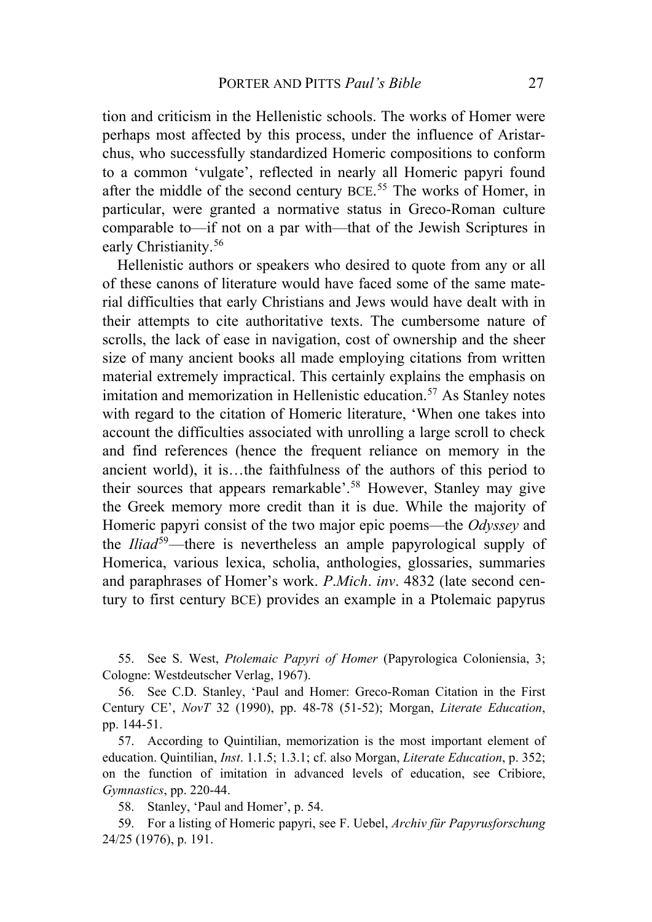tion and criticism in the Hellenistic schools. The works of Homer were perhaps most affected by this process, under the influence of Aristarchus, who successfully standardized Homeric compositions to conform to a common 'vulgate', reflected in nearly all Homeric papyri found after the middle of the second century BCE.<sup>[55](#page-18-0)</sup> The works of Homer, in particular, were granted a normative status in Greco-Roman culture comparable to—if not on a par with—that of the Jewish Scriptures in early Christianity.[56](#page-18-1)

Hellenistic authors or speakers who desired to quote from any or all of these canons of literature would have faced some of the same material difficulties that early Christians and Jews would have dealt with in their attempts to cite authoritative texts. The cumbersome nature of scrolls, the lack of ease in navigation, cost of ownership and the sheer size of many ancient books all made employing citations from written material extremely impractical. This certainly explains the emphasis on imitation and memorization in Hellenistic education.<sup>57</sup> As Stanley notes with regard to the citation of Homeric literature, 'When one takes into account the difficulties associated with unrolling a large scroll to check and find references (hence the frequent reliance on memory in the ancient world), it is…the faithfulness of the authors of this period to their sources that appears remarkable'.[58](#page-18-3) However, Stanley may give the Greek memory more credit than it is due. While the majority of Homeric papyri consist of the two major epic poems—the *Odyssey* and the *Iliad*[59](#page-18-4)—there is nevertheless an ample papyrological supply of Homerica, various lexica, scholia, anthologies, glossaries, summaries and paraphrases of Homer's work. *P*.*Mich*. *inv*. 4832 (late second century to first century BCE) provides an example in a Ptolemaic papyrus

<span id="page-18-0"></span>55. See S. West, *Ptolemaic Papyri of Homer* (Papyrologica Coloniensia, 3; Cologne: Westdeutscher Verlag, 1967).

<span id="page-18-1"></span>56. See C.D. Stanley, 'Paul and Homer: Greco-Roman Citation in the First Century CE', *NovT* 32 (1990), pp. 48-78 (51-52); Morgan, *Literate Education*, pp. 144-51.

<span id="page-18-2"></span>57. According to Quintilian, memorization is the most important element of education. Quintilian, *Inst*. 1.1.5; 1.3.1; cf. also Morgan, *Literate Education*, p. 352; on the function of imitation in advanced levels of education, see Cribiore, *Gymnastics*, pp. 220-44.

58. Stanley, 'Paul and Homer', p. 54.

<span id="page-18-4"></span><span id="page-18-3"></span>59. For a listing of Homeric papyri, see F. Uebel, *Archiv für Papyrusforschung*  24/25 (1976), p. 191.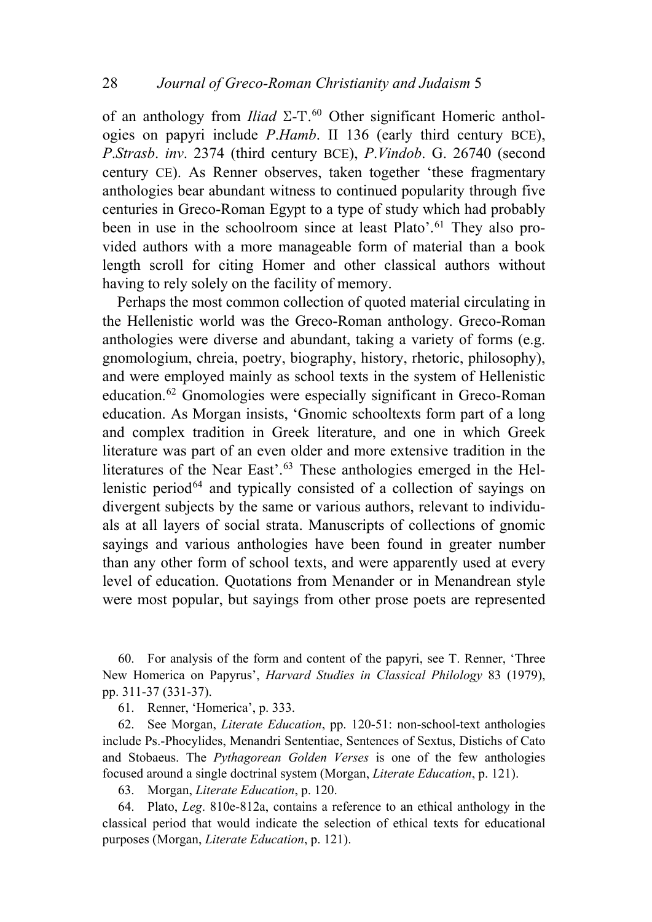of an anthology from *Iliad*  $\Sigma$ -T.<sup>[60](#page-19-0)</sup> Other significant Homeric anthologies on papyri include *P*.*Hamb*. II 136 (early third century BCE), *P*.*Strasb*. *inv*. 2374 (third century BCE), *P*.*Vindob*. G. 26740 (second century CE). As Renner observes, taken together 'these fragmentary anthologies bear abundant witness to continued popularity through five centuries in Greco-Roman Egypt to a type of study which had probably been in use in the schoolroom since at least Plato'.<sup>[61](#page-19-1)</sup> They also provided authors with a more manageable form of material than a book length scroll for citing Homer and other classical authors without having to rely solely on the facility of memory.

Perhaps the most common collection of quoted material circulating in the Hellenistic world was the Greco-Roman anthology. Greco-Roman anthologies were diverse and abundant, taking a variety of forms (e.g. gnomologium, chreia, poetry, biography, history, rhetoric, philosophy), and were employed mainly as school texts in the system of Hellenistic education.[62](#page-19-2) Gnomologies were especially significant in Greco-Roman education. As Morgan insists, 'Gnomic schooltexts form part of a long and complex tradition in Greek literature, and one in which Greek literature was part of an even older and more extensive tradition in the literatures of the Near East'.<sup>[63](#page-19-3)</sup> These anthologies emerged in the Hellenistic period $64$  and typically consisted of a collection of sayings on divergent subjects by the same or various authors, relevant to individuals at all layers of social strata. Manuscripts of collections of gnomic sayings and various anthologies have been found in greater number than any other form of school texts, and were apparently used at every level of education. Quotations from Menander or in Menandrean style were most popular, but sayings from other prose poets are represented

<span id="page-19-0"></span>60. For analysis of the form and content of the papyri, see T. Renner, 'Three New Homerica on Papyrus', *Harvard Studies in Classical Philology* 83 (1979), pp. 311-37 (331-37).

61. Renner, 'Homerica', p. 333.

<span id="page-19-2"></span><span id="page-19-1"></span>62. See Morgan, *Literate Education*, pp. 120-51: non-school-text anthologies include Ps.-Phocylides, Menandri Sententiae, Sentences of Sextus, Distichs of Cato and Stobaeus. The *Pythagorean Golden Verses* is one of the few anthologies focused around a single doctrinal system (Morgan, *Literate Education*, p. 121).

63. Morgan, *Literate Education*, p. 120.

<span id="page-19-4"></span><span id="page-19-3"></span>64. Plato, *Leg*. 810e-812a, contains a reference to an ethical anthology in the classical period that would indicate the selection of ethical texts for educational purposes (Morgan, *Literate Education*, p. 121).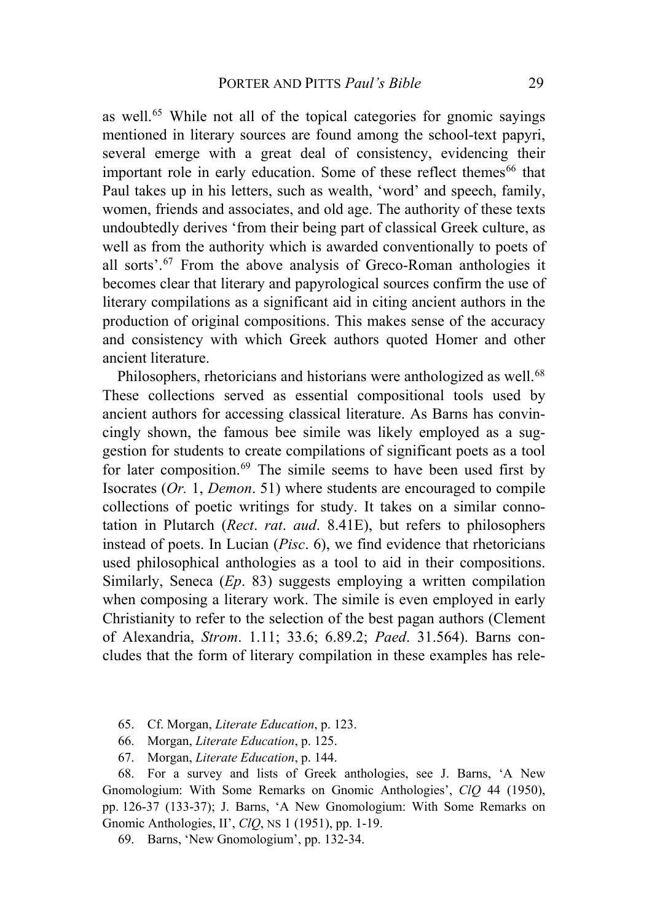as well.<sup>[65](#page-20-0)</sup> While not all of the topical categories for gnomic sayings mentioned in literary sources are found among the school-text papyri, several emerge with a great deal of consistency, evidencing their important role in early education. Some of these reflect themes<sup>[66](#page-20-1)</sup> that Paul takes up in his letters, such as wealth, 'word' and speech, family, women, friends and associates, and old age. The authority of these texts undoubtedly derives 'from their being part of classical Greek culture, as well as from the authority which is awarded conventionally to poets of all sorts'.[67](#page-20-2) From the above analysis of Greco-Roman anthologies it becomes clear that literary and papyrological sources confirm the use of literary compilations as a significant aid in citing ancient authors in the production of original compositions. This makes sense of the accuracy and consistency with which Greek authors quoted Homer and other ancient literature.

Philosophers, rhetoricians and historians were anthologized as well.<sup>[68](#page-20-3)</sup> These collections served as essential compositional tools used by ancient authors for accessing classical literature. As Barns has convincingly shown, the famous bee simile was likely employed as a suggestion for students to create compilations of significant poets as a tool for later composition.<sup>[69](#page-20-4)</sup> The simile seems to have been used first by Isocrates (*Or.* 1, *Demon*. 51) where students are encouraged to compile collections of poetic writings for study. It takes on a similar connotation in Plutarch (*Rect*. *rat*. *aud*. 8.41E), but refers to philosophers instead of poets. In Lucian (*Pisc*. 6), we find evidence that rhetoricians used philosophical anthologies as a tool to aid in their compositions. Similarly, Seneca (*Ep*. 83) suggests employing a written compilation when composing a literary work. The simile is even employed in early Christianity to refer to the selection of the best pagan authors (Clement of Alexandria, *Strom*. 1.11; 33.6; 6.89.2; *Paed*. 31.564). Barns concludes that the form of literary compilation in these examples has rele-

- 65. Cf. Morgan, *Literate Education*, p. 123.
- 66. Morgan, *Literate Education*, p. 125.
- 67. Morgan, *Literate Education*, p. 144.

<span id="page-20-3"></span><span id="page-20-2"></span><span id="page-20-1"></span><span id="page-20-0"></span>68. For a survey and lists of Greek anthologies, see J. Barns, 'A New Gnomologium: With Some Remarks on Gnomic Anthologies', *ClQ* 44 (1950), pp. 126-37 (133-37); J. Barns, 'A New Gnomologium: With Some Remarks on Gnomic Anthologies, II', *ClQ*, NS 1 (1951), pp. 1-19.

<span id="page-20-4"></span>69. Barns, 'New Gnomologium', pp. 132-34.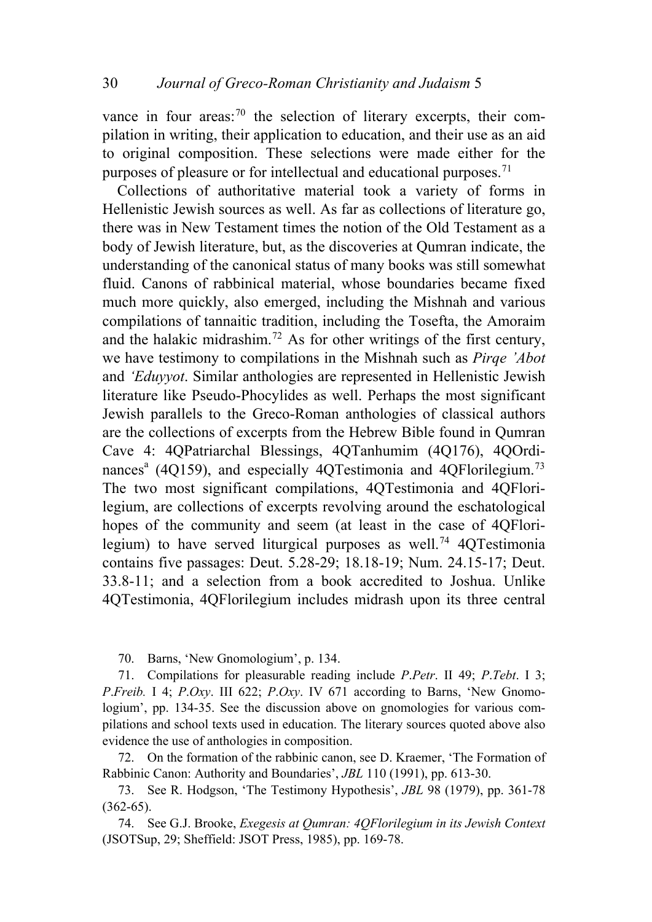vance in four areas:<sup>[70](#page-21-0)</sup> the selection of literary excerpts, their compilation in writing, their application to education, and their use as an aid to original composition. These selections were made either for the purposes of pleasure or for intellectual and educational purposes.<sup>[71](#page-21-1)</sup>

Collections of authoritative material took a variety of forms in Hellenistic Jewish sources as well. As far as collections of literature go, there was in New Testament times the notion of the Old Testament as a body of Jewish literature, but, as the discoveries at Qumran indicate, the understanding of the canonical status of many books was still somewhat fluid. Canons of rabbinical material, whose boundaries became fixed much more quickly, also emerged, including the Mishnah and various compilations of tannaitic tradition, including the Tosefta, the Amoraim and the halakic midrashim.[72](#page-21-2) As for other writings of the first century, we have testimony to compilations in the Mishnah such as *Pirqe 'Abot* and *'Eduyyot*. Similar anthologies are represented in Hellenistic Jewish literature like Pseudo-Phocylides as well. Perhaps the most significant Jewish parallels to the Greco-Roman anthologies of classical authors are the collections of excerpts from the Hebrew Bible found in Qumran Cave 4: 4QPatriarchal Blessings, 4QTanhumim (4Q176), 4QOrdi-nances<sup>a</sup> (4Q159), and especially 4QTestimonia and 4QFlorilegium.<sup>[73](#page-21-3)</sup> The two most significant compilations, 4QTestimonia and 4QFlorilegium, are collections of excerpts revolving around the eschatological hopes of the community and seem (at least in the case of 4QFlori-legium) to have served liturgical purposes as well.<sup>[74](#page-21-4)</sup> 4QTestimonia contains five passages: Deut. 5.28-29; 18.18-19; Num. 24.15-17; Deut. 33.8-11; and a selection from a book accredited to Joshua. Unlike 4QTestimonia, 4QFlorilegium includes midrash upon its three central

70. Barns, 'New Gnomologium', p. 134.

<span id="page-21-1"></span><span id="page-21-0"></span>71. Compilations for pleasurable reading include *P*.*Petr*. II 49; *P*.*Tebt*. I 3; *P*.*Freib.* I 4; *P*.*Oxy*. III 622; *P*.*Oxy*. IV 671 according to Barns, 'New Gnomologium', pp. 134-35. See the discussion above on gnomologies for various compilations and school texts used in education. The literary sources quoted above also evidence the use of anthologies in composition.

<span id="page-21-2"></span>72. On the formation of the rabbinic canon, see D. Kraemer, 'The Formation of Rabbinic Canon: Authority and Boundaries', *JBL* 110 (1991), pp. 613-30.

<span id="page-21-3"></span>73. See R. Hodgson, 'The Testimony Hypothesis', *JBL* 98 (1979), pp. 361-78 (362-65).

<span id="page-21-4"></span>74. See G.J. Brooke, *Exegesis at Qumran: 4QFlorilegium in its Jewish Context*  (JSOTSup, 29; Sheffield: JSOT Press, 1985), pp. 169-78.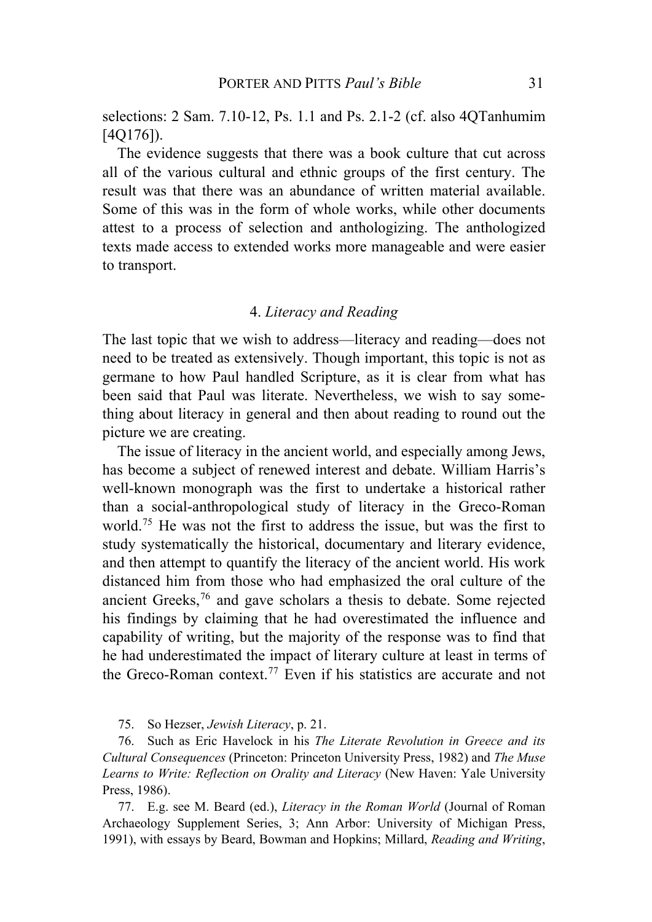selections: 2 Sam. 7.10-12, Ps. 1.1 and Ps. 2.1-2 (cf. also 4QTanhumim [4Q176]).

The evidence suggests that there was a book culture that cut across all of the various cultural and ethnic groups of the first century. The result was that there was an abundance of written material available. Some of this was in the form of whole works, while other documents attest to a process of selection and anthologizing. The anthologized texts made access to extended works more manageable and were easier to transport.

## 4. *Literacy and Reading*

The last topic that we wish to address—literacy and reading—does not need to be treated as extensively. Though important, this topic is not as germane to how Paul handled Scripture, as it is clear from what has been said that Paul was literate. Nevertheless, we wish to say something about literacy in general and then about reading to round out the picture we are creating.

The issue of literacy in the ancient world, and especially among Jews, has become a subject of renewed interest and debate. William Harris's well-known monograph was the first to undertake a historical rather than a social-anthropological study of literacy in the Greco-Roman world.<sup>[75](#page-22-0)</sup> He was not the first to address the issue, but was the first to study systematically the historical, documentary and literary evidence, and then attempt to quantify the literacy of the ancient world. His work distanced him from those who had emphasized the oral culture of the ancient Greeks,[76](#page-22-1) and gave scholars a thesis to debate. Some rejected his findings by claiming that he had overestimated the influence and capability of writing, but the majority of the response was to find that he had underestimated the impact of literary culture at least in terms of the Greco-Roman context.<sup>[77](#page-22-2)</sup> Even if his statistics are accurate and not

75. So Hezser, *Jewish Literacy*, p. 21.

<span id="page-22-1"></span><span id="page-22-0"></span>76. Such as Eric Havelock in his *The Literate Revolution in Greece and its Cultural Consequences* (Princeton: Princeton University Press, 1982) and *The Muse Learns to Write: Reflection on Orality and Literacy* (New Haven: Yale University Press, 1986).

<span id="page-22-2"></span>77. E.g. see M. Beard (ed.), *Literacy in the Roman World* (Journal of Roman Archaeology Supplement Series, 3; Ann Arbor: University of Michigan Press, 1991), with essays by Beard, Bowman and Hopkins; Millard, *Reading and Writing*,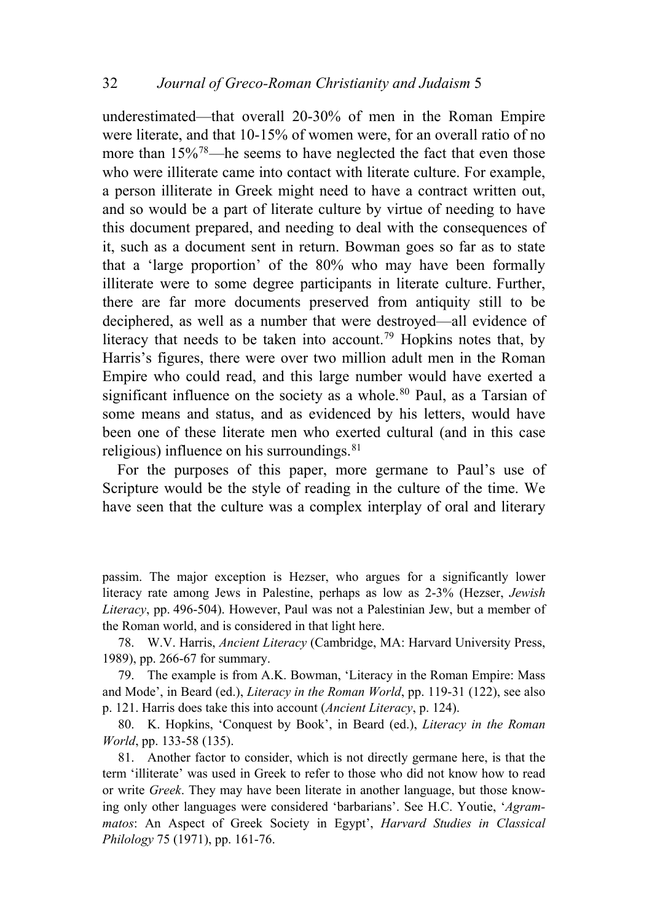underestimated—that overall 20-30% of men in the Roman Empire were literate, and that 10-15% of women were, for an overall ratio of no more than  $15\%$ <sup>[78](#page-23-0)</sup>—he seems to have neglected the fact that even those who were illiterate came into contact with literate culture. For example, a person illiterate in Greek might need to have a contract written out, and so would be a part of literate culture by virtue of needing to have this document prepared, and needing to deal with the consequences of it, such as a document sent in return. Bowman goes so far as to state that a 'large proportion' of the 80% who may have been formally illiterate were to some degree participants in literate culture. Further, there are far more documents preserved from antiquity still to be deciphered, as well as a number that were destroyed—all evidence of literacy that needs to be taken into account.<sup>[79](#page-23-1)</sup> Hopkins notes that, by Harris's figures, there were over two million adult men in the Roman Empire who could read, and this large number would have exerted a significant influence on the society as a whole.<sup>[80](#page-23-2)</sup> Paul, as a Tarsian of some means and status, and as evidenced by his letters, would have been one of these literate men who exerted cultural (and in this case religious) influence on his surroundings. $81$ 

For the purposes of this paper, more germane to Paul's use of Scripture would be the style of reading in the culture of the time. We have seen that the culture was a complex interplay of oral and literary

passim. The major exception is Hezser, who argues for a significantly lower literacy rate among Jews in Palestine, perhaps as low as 2-3% (Hezser, *Jewish Literacy*, pp. 496-504). However, Paul was not a Palestinian Jew, but a member of the Roman world, and is considered in that light here.

<span id="page-23-0"></span>78. W.V. Harris, *Ancient Literacy* (Cambridge, MA: Harvard University Press, 1989), pp. 266-67 for summary.

<span id="page-23-1"></span>79. The example is from A.K. Bowman, 'Literacy in the Roman Empire: Mass and Mode', in Beard (ed.), *Literacy in the Roman World*, pp. 119-31 (122), see also p. 121. Harris does take this into account (*Ancient Literacy*, p. 124).

<span id="page-23-2"></span>80. K. Hopkins, 'Conquest by Book', in Beard (ed.), *Literacy in the Roman World*, pp. 133-58 (135).

<span id="page-23-3"></span>81. Another factor to consider, which is not directly germane here, is that the term 'illiterate' was used in Greek to refer to those who did not know how to read or write *Greek*. They may have been literate in another language, but those knowing only other languages were considered 'barbarians'. See H.C. Youtie, '*Agrammatos*: An Aspect of Greek Society in Egypt', *Harvard Studies in Classical Philology* 75 (1971), pp. 161-76.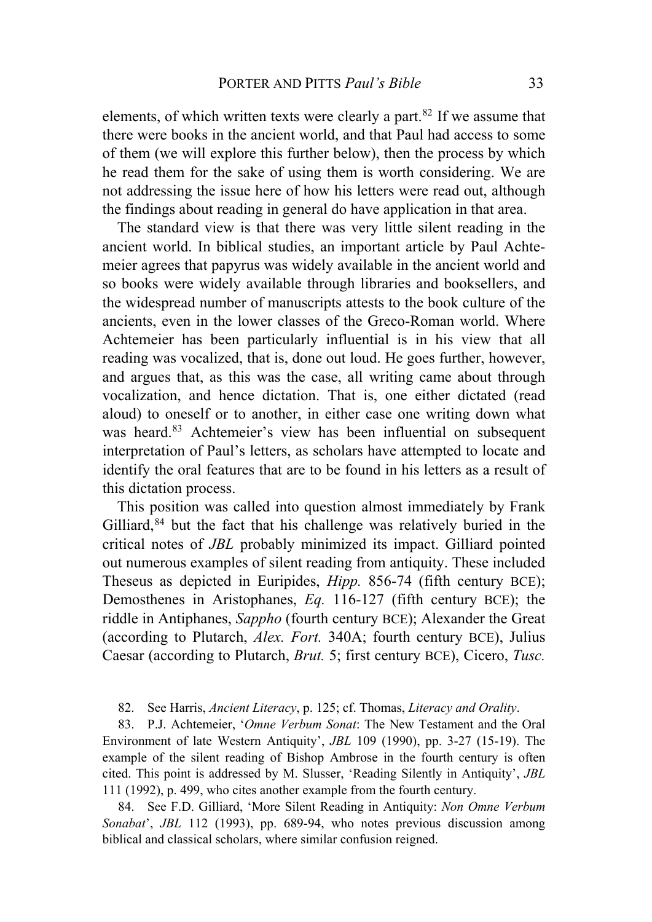elements, of which written texts were clearly a part. $82$  If we assume that there were books in the ancient world, and that Paul had access to some of them (we will explore this further below), then the process by which he read them for the sake of using them is worth considering. We are not addressing the issue here of how his letters were read out, although the findings about reading in general do have application in that area.

The standard view is that there was very little silent reading in the ancient world. In biblical studies, an important article by Paul Achtemeier agrees that papyrus was widely available in the ancient world and so books were widely available through libraries and booksellers, and the widespread number of manuscripts attests to the book culture of the ancients, even in the lower classes of the Greco-Roman world. Where Achtemeier has been particularly influential is in his view that all reading was vocalized, that is, done out loud. He goes further, however, and argues that, as this was the case, all writing came about through vocalization, and hence dictation. That is, one either dictated (read aloud) to oneself or to another, in either case one writing down what was heard.<sup>[83](#page-24-1)</sup> Achtemeier's view has been influential on subsequent interpretation of Paul's letters, as scholars have attempted to locate and identify the oral features that are to be found in his letters as a result of this dictation process.

This position was called into question almost immediately by Frank Gilliard, $84$  but the fact that his challenge was relatively buried in the critical notes of *JBL* probably minimized its impact. Gilliard pointed out numerous examples of silent reading from antiquity. These included Theseus as depicted in Euripides, *Hipp.* 856-74 (fifth century BCE); Demosthenes in Aristophanes, *Eq.* 116-127 (fifth century BCE); the riddle in Antiphanes, *Sappho* (fourth century BCE); Alexander the Great (according to Plutarch, *Alex. Fort.* 340A; fourth century BCE), Julius Caesar (according to Plutarch, *Brut.* 5; first century BCE), Cicero, *Tusc.*

82. See Harris, *Ancient Literacy*, p. 125; cf. Thomas, *Literacy and Orality*.

<span id="page-24-1"></span><span id="page-24-0"></span>83. P.J. Achtemeier, '*Omne Verbum Sonat*: The New Testament and the Oral Environment of late Western Antiquity', *JBL* 109 (1990), pp. 3-27 (15-19). The example of the silent reading of Bishop Ambrose in the fourth century is often cited. This point is addressed by M. Slusser, 'Reading Silently in Antiquity', *JBL* 111 (1992), p. 499, who cites another example from the fourth century.

<span id="page-24-2"></span>84. See F.D. Gilliard, 'More Silent Reading in Antiquity: *Non Omne Verbum Sonabat*', *JBL* 112 (1993), pp. 689-94, who notes previous discussion among biblical and classical scholars, where similar confusion reigned.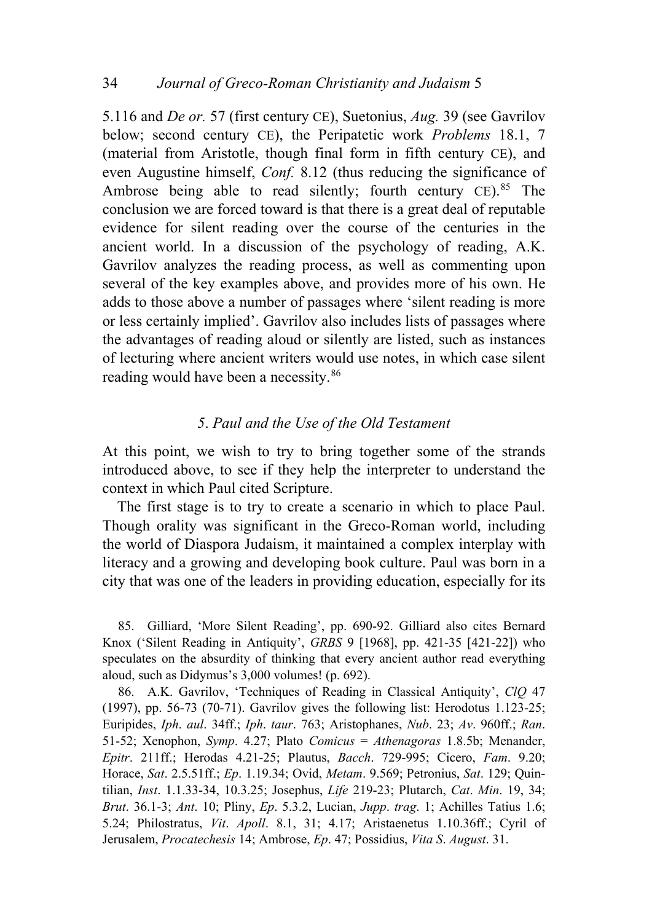5.116 and *De or.* 57 (first century CE), Suetonius, *Aug.* 39 (see Gavrilov below; second century CE), the Peripatetic work *Problems* 18.1, 7 (material from Aristotle, though final form in fifth century CE), and even Augustine himself, *Conf.* 8.12 (thus reducing the significance of Ambrose being able to read silently; fourth century  $CE$ ).<sup>[85](#page-25-0)</sup> The conclusion we are forced toward is that there is a great deal of reputable evidence for silent reading over the course of the centuries in the ancient world. In a discussion of the psychology of reading, A.K. Gavrilov analyzes the reading process, as well as commenting upon several of the key examples above, and provides more of his own. He adds to those above a number of passages where 'silent reading is more or less certainly implied'. Gavrilov also includes lists of passages where the advantages of reading aloud or silently are listed, such as instances of lecturing where ancient writers would use notes, in which case silent reading would have been a necessity.<sup>[86](#page-25-1)</sup>

## *5*. *Paul and the Use of the Old Testament*

At this point, we wish to try to bring together some of the strands introduced above, to see if they help the interpreter to understand the context in which Paul cited Scripture.

The first stage is to try to create a scenario in which to place Paul. Though orality was significant in the Greco-Roman world, including the world of Diaspora Judaism, it maintained a complex interplay with literacy and a growing and developing book culture. Paul was born in a city that was one of the leaders in providing education, especially for its

<span id="page-25-0"></span>85. Gilliard, 'More Silent Reading', pp. 690-92. Gilliard also cites Bernard Knox ('Silent Reading in Antiquity', *GRBS* 9 [1968], pp. 421-35 [421-22]) who speculates on the absurdity of thinking that every ancient author read everything aloud, such as Didymus's 3,000 volumes! (p. 692).

<span id="page-25-1"></span>86. A.K. Gavrilov, 'Techniques of Reading in Classical Antiquity', *ClQ* 47 (1997), pp. 56-73 (70-71). Gavrilov gives the following list: Herodotus 1.123-25; Euripides, *Iph*. *aul*. 34ff.; *Iph*. *taur*. 763; Aristophanes, *Nub*. 23; *Av*. 960ff.; *Ran*. 51-52; Xenophon, *Symp*. 4.27; Plato *Comicus* = *Athenagoras* 1.8.5b; Menander, *Epitr*. 211ff.; Herodas 4.21-25; Plautus, *Bacch*. 729-995; Cicero, *Fam*. 9.20; Horace, *Sat*. 2.5.51ff.; *Ep*. 1.19.34; Ovid, *Metam*. 9.569; Petronius, *Sat*. 129; Quintilian, *Inst*. 1.1.33-34, 10.3.25; Josephus, *Life* 219-23; Plutarch, *Cat*. *Min*. 19, 34; *Brut*. 36.1-3; *Ant*. 10; Pliny, *Ep*. 5.3.2, Lucian, *Jupp*. *trag*. 1; Achilles Tatius 1.6; 5.24; Philostratus, *Vit*. *Apoll*. 8.1, 31; 4.17; Aristaenetus 1.10.36ff.; Cyril of Jerusalem, *Procatechesis* 14; Ambrose, *Ep*. 47; Possidius, *Vita S*. *August*. 31.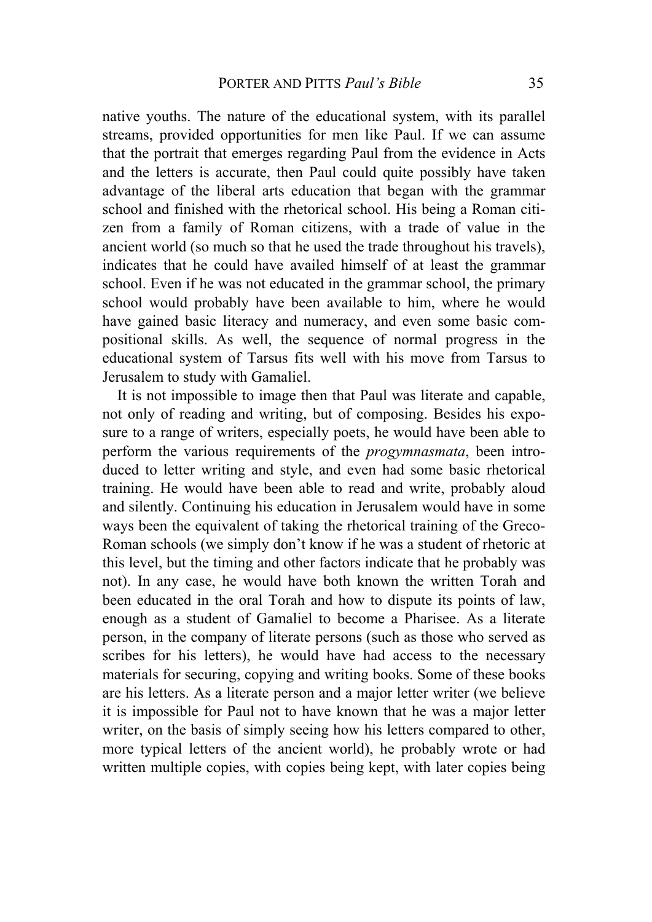native youths. The nature of the educational system, with its parallel streams, provided opportunities for men like Paul. If we can assume that the portrait that emerges regarding Paul from the evidence in Acts and the letters is accurate, then Paul could quite possibly have taken advantage of the liberal arts education that began with the grammar school and finished with the rhetorical school. His being a Roman citizen from a family of Roman citizens, with a trade of value in the ancient world (so much so that he used the trade throughout his travels), indicates that he could have availed himself of at least the grammar school. Even if he was not educated in the grammar school, the primary school would probably have been available to him, where he would have gained basic literacy and numeracy, and even some basic compositional skills. As well, the sequence of normal progress in the educational system of Tarsus fits well with his move from Tarsus to Jerusalem to study with Gamaliel.

It is not impossible to image then that Paul was literate and capable, not only of reading and writing, but of composing. Besides his exposure to a range of writers, especially poets, he would have been able to perform the various requirements of the *progymnasmata*, been introduced to letter writing and style, and even had some basic rhetorical training. He would have been able to read and write, probably aloud and silently. Continuing his education in Jerusalem would have in some ways been the equivalent of taking the rhetorical training of the Greco-Roman schools (we simply don't know if he was a student of rhetoric at this level, but the timing and other factors indicate that he probably was not). In any case, he would have both known the written Torah and been educated in the oral Torah and how to dispute its points of law, enough as a student of Gamaliel to become a Pharisee. As a literate person, in the company of literate persons (such as those who served as scribes for his letters), he would have had access to the necessary materials for securing, copying and writing books. Some of these books are his letters. As a literate person and a major letter writer (we believe it is impossible for Paul not to have known that he was a major letter writer, on the basis of simply seeing how his letters compared to other, more typical letters of the ancient world), he probably wrote or had written multiple copies, with copies being kept, with later copies being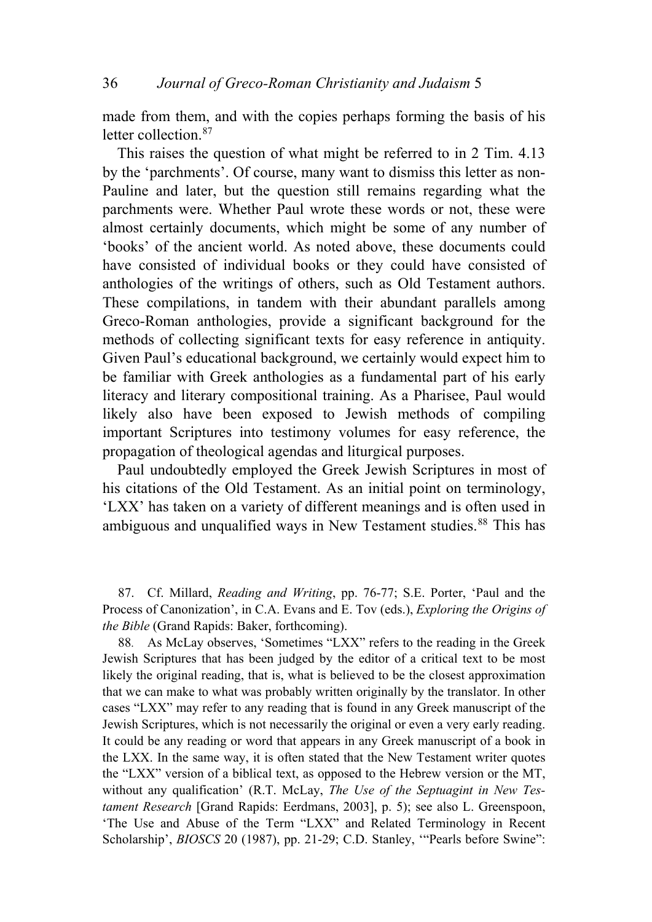made from them, and with the copies perhaps forming the basis of his letter collection.<sup>[87](#page-27-0)</sup>

This raises the question of what might be referred to in 2 Tim. 4.13 by the 'parchments'. Of course, many want to dismiss this letter as non-Pauline and later, but the question still remains regarding what the parchments were. Whether Paul wrote these words or not, these were almost certainly documents, which might be some of any number of 'books' of the ancient world. As noted above, these documents could have consisted of individual books or they could have consisted of anthologies of the writings of others, such as Old Testament authors. These compilations, in tandem with their abundant parallels among Greco-Roman anthologies, provide a significant background for the methods of collecting significant texts for easy reference in antiquity. Given Paul's educational background, we certainly would expect him to be familiar with Greek anthologies as a fundamental part of his early literacy and literary compositional training. As a Pharisee, Paul would likely also have been exposed to Jewish methods of compiling important Scriptures into testimony volumes for easy reference, the propagation of theological agendas and liturgical purposes.

Paul undoubtedly employed the Greek Jewish Scriptures in most of his citations of the Old Testament. As an initial point on terminology, 'LXX' has taken on a variety of different meanings and is often used in ambiguous and unqualified ways in New Testament studies.<sup>[88](#page-27-1)</sup> This has

<span id="page-27-0"></span>87. Cf. Millard, *Reading and Writing*, pp. 76-77; S.E. Porter, 'Paul and the Process of Canonization', in C.A. Evans and E. Tov (eds.), *Exploring the Origins of the Bible* (Grand Rapids: Baker, forthcoming).

<span id="page-27-1"></span>88. As McLay observes, 'Sometimes "LXX" refers to the reading in the Greek Jewish Scriptures that has been judged by the editor of a critical text to be most likely the original reading, that is, what is believed to be the closest approximation that we can make to what was probably written originally by the translator. In other cases "LXX" may refer to any reading that is found in any Greek manuscript of the Jewish Scriptures, which is not necessarily the original or even a very early reading. It could be any reading or word that appears in any Greek manuscript of a book in the LXX. In the same way, it is often stated that the New Testament writer quotes the "LXX" version of a biblical text, as opposed to the Hebrew version or the MT, without any qualification' (R.T. McLay, *The Use of the Septuagint in New Testament Research* [Grand Rapids: Eerdmans, 2003], p. 5); see also L. Greenspoon, 'The Use and Abuse of the Term "LXX" and Related Terminology in Recent Scholarship', *BIOSCS* 20 (1987), pp. 21-29; C.D. Stanley, "Pearls before Swine":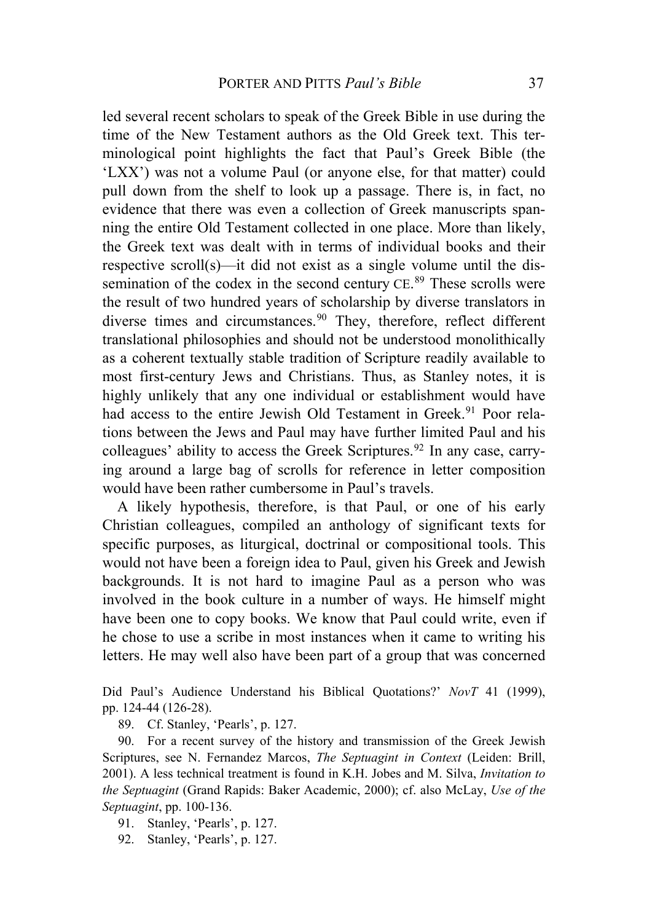led several recent scholars to speak of the Greek Bible in use during the time of the New Testament authors as the Old Greek text. This terminological point highlights the fact that Paul's Greek Bible (the 'LXX') was not a volume Paul (or anyone else, for that matter) could pull down from the shelf to look up a passage. There is, in fact, no evidence that there was even a collection of Greek manuscripts spanning the entire Old Testament collected in one place. More than likely, the Greek text was dealt with in terms of individual books and their respective scroll(s)—it did not exist as a single volume until the dis-semination of the codex in the second century CE.<sup>[89](#page-28-0)</sup> These scrolls were the result of two hundred years of scholarship by diverse translators in diverse times and circumstances.<sup>[90](#page-28-1)</sup> They, therefore, reflect different translational philosophies and should not be understood monolithically as a coherent textually stable tradition of Scripture readily available to most first-century Jews and Christians. Thus, as Stanley notes, it is highly unlikely that any one individual or establishment would have had access to the entire Jewish Old Testament in Greek.<sup>[91](#page-28-2)</sup> Poor relations between the Jews and Paul may have further limited Paul and his colleagues' ability to access the Greek Scriptures.<sup>[92](#page-28-3)</sup> In any case, carrying around a large bag of scrolls for reference in letter composition would have been rather cumbersome in Paul's travels.

A likely hypothesis, therefore, is that Paul, or one of his early Christian colleagues, compiled an anthology of significant texts for specific purposes, as liturgical, doctrinal or compositional tools. This would not have been a foreign idea to Paul, given his Greek and Jewish backgrounds. It is not hard to imagine Paul as a person who was involved in the book culture in a number of ways. He himself might have been one to copy books. We know that Paul could write, even if he chose to use a scribe in most instances when it came to writing his letters. He may well also have been part of a group that was concerned

Did Paul's Audience Understand his Biblical Quotations?' *NovT* 41 (1999), pp. 124-44 (126-28).

89. Cf. Stanley, 'Pearls', p. 127.

<span id="page-28-1"></span><span id="page-28-0"></span>90. For a recent survey of the history and transmission of the Greek Jewish Scriptures, see N. Fernandez Marcos, *The Septuagint in Context* (Leiden: Brill, 2001). A less technical treatment is found in K.H. Jobes and M. Silva, *Invitation to the Septuagint* (Grand Rapids: Baker Academic, 2000); cf. also McLay, *Use of the Septuagint*, pp. 100-136.

<span id="page-28-2"></span>91. Stanley, 'Pearls', p. 127.

<span id="page-28-3"></span>92. Stanley, 'Pearls', p. 127.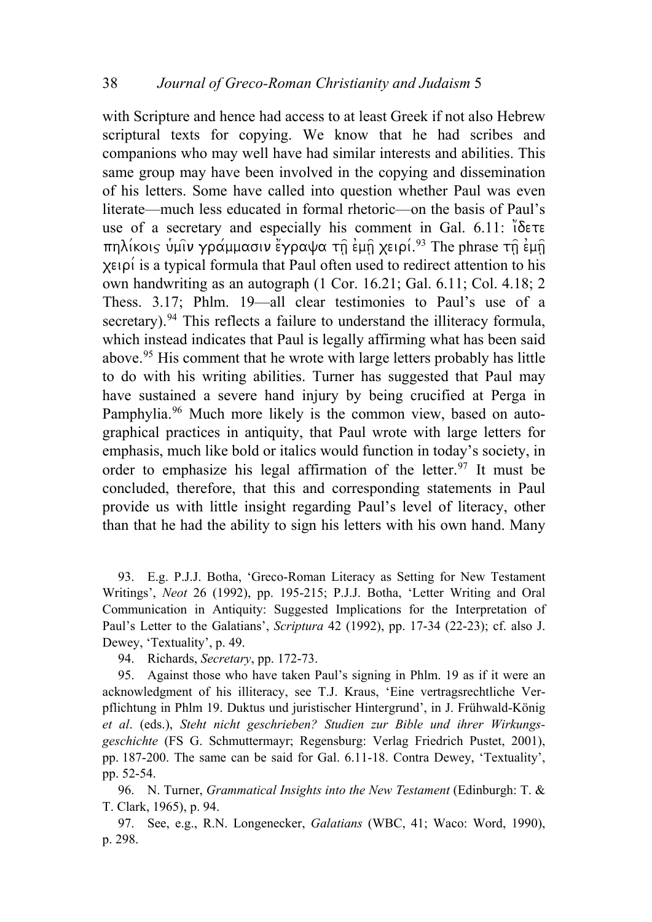with Scripture and hence had access to at least Greek if not also Hebrew scriptural texts for copying. We know that he had scribes and companions who may well have had similar interests and abilities. This same group may have been involved in the copying and dissemination of his letters. Some have called into question whether Paul was even literate—much less educated in formal rhetoric—on the basis of Paul's use of a secretary and especially his comment in Gal. 6.11:  $i\delta \in \mathcal{F}$ πηλίκοις υμιν γράμμασιν έγραψα τη εμη χειρί.<sup>[93](#page-29-0)</sup> The phrase τη εμη χειρί is a typical formula that Paul often used to redirect attention to his own handwriting as an autograph (1 Cor. 16.21; Gal. 6.11; Col. 4.18; 2 Thess. 3.17; Phlm. 19—all clear testimonies to Paul's use of a secretary).<sup>[94](#page-29-1)</sup> This reflects a failure to understand the illiteracy formula, which instead indicates that Paul is legally affirming what has been said above.[95](#page-29-2) His comment that he wrote with large letters probably has little to do with his writing abilities. Turner has suggested that Paul may have sustained a severe hand injury by being crucified at Perga in Pamphylia.<sup>[96](#page-29-3)</sup> Much more likely is the common view, based on autographical practices in antiquity, that Paul wrote with large letters for emphasis, much like bold or italics would function in today's society, in order to emphasize his legal affirmation of the letter.<sup>[97](#page-29-4)</sup> It must be concluded, therefore, that this and corresponding statements in Paul provide us with little insight regarding Paul's level of literacy, other than that he had the ability to sign his letters with his own hand. Many

<span id="page-29-0"></span>93. E.g. P.J.J. Botha, 'Greco-Roman Literacy as Setting for New Testament Writings', *Neot* 26 (1992), pp. 195-215; P.J.J. Botha, 'Letter Writing and Oral Communication in Antiquity: Suggested Implications for the Interpretation of Paul's Letter to the Galatians', *Scriptura* 42 (1992), pp. 17-34 (22-23); cf. also J. Dewey, 'Textuality', p. 49.

94. Richards, *Secretary*, pp. 172-73.

<span id="page-29-2"></span><span id="page-29-1"></span>95. Against those who have taken Paul's signing in Phlm. 19 as if it were an acknowledgment of his illiteracy, see T.J. Kraus, 'Eine vertragsrechtliche Verpflichtung in Phlm 19. Duktus und juristischer Hintergrund', in J. Frühwald-König *et al*. (eds.), *Steht nicht geschrieben? Studien zur Bible und ihrer Wirkungsgeschichte* (FS G. Schmuttermayr; Regensburg: Verlag Friedrich Pustet, 2001), pp. 187-200. The same can be said for Gal. 6.11-18. Contra Dewey, 'Textuality', pp. 52-54.

<span id="page-29-3"></span>96. N. Turner, *Grammatical Insights into the New Testament* (Edinburgh: T. & T. Clark, 1965), p. 94.

<span id="page-29-4"></span>97. See, e.g., R.N. Longenecker, *Galatians* (WBC, 41; Waco: Word, 1990), p. 298.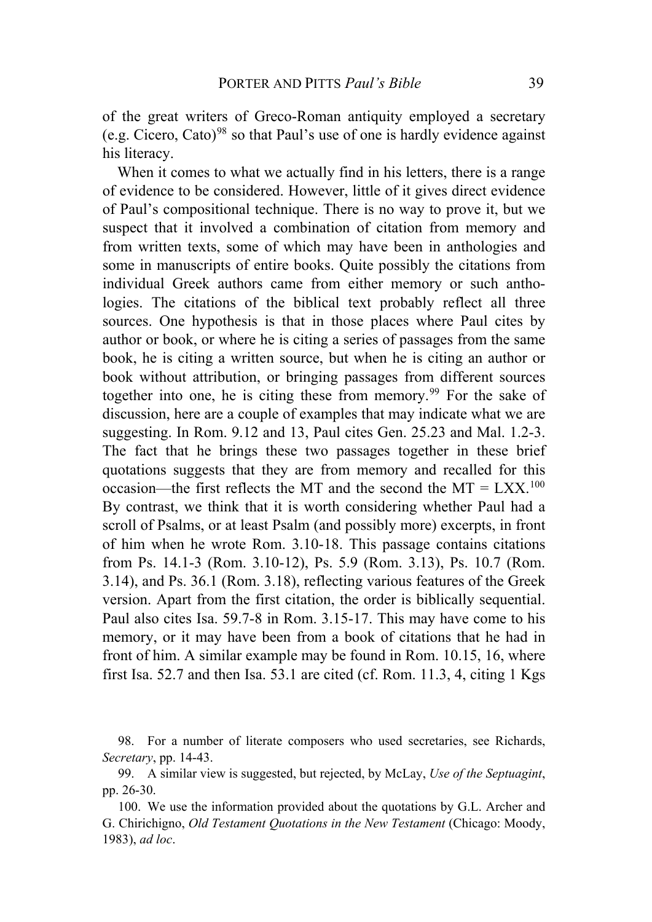of the great writers of Greco-Roman antiquity employed a secretary (e.g. Cicero, Cato)<sup>[98](#page-30-0)</sup> so that Paul's use of one is hardly evidence against his literacy.

When it comes to what we actually find in his letters, there is a range of evidence to be considered. However, little of it gives direct evidence of Paul's compositional technique. There is no way to prove it, but we suspect that it involved a combination of citation from memory and from written texts, some of which may have been in anthologies and some in manuscripts of entire books. Quite possibly the citations from individual Greek authors came from either memory or such anthologies. The citations of the biblical text probably reflect all three sources. One hypothesis is that in those places where Paul cites by author or book, or where he is citing a series of passages from the same book, he is citing a written source, but when he is citing an author or book without attribution, or bringing passages from different sources together into one, he is citing these from memory.<sup>[99](#page-30-1)</sup> For the sake of discussion, here are a couple of examples that may indicate what we are suggesting. In Rom. 9.12 and 13, Paul cites Gen. 25.23 and Mal. 1.2-3. The fact that he brings these two passages together in these brief quotations suggests that they are from memory and recalled for this occasion—the first reflects the MT and the second the MT =  $LXX$ .<sup>[100](#page-30-2)</sup> By contrast, we think that it is worth considering whether Paul had a scroll of Psalms, or at least Psalm (and possibly more) excerpts, in front of him when he wrote Rom. 3.10-18. This passage contains citations from Ps. 14.1-3 (Rom. 3.10-12), Ps. 5.9 (Rom. 3.13), Ps. 10.7 (Rom. 3.14), and Ps. 36.1 (Rom. 3.18), reflecting various features of the Greek version. Apart from the first citation, the order is biblically sequential. Paul also cites Isa. 59.7-8 in Rom. 3.15-17. This may have come to his memory, or it may have been from a book of citations that he had in front of him. A similar example may be found in Rom. 10.15, 16, where first Isa. 52.7 and then Isa. 53.1 are cited (cf. Rom. 11.3, 4, citing 1 Kgs

<span id="page-30-0"></span><sup>98.</sup> For a number of literate composers who used secretaries, see Richards, *Secretary*, pp. 14-43.

<span id="page-30-1"></span><sup>99.</sup> A similar view is suggested, but rejected, by McLay, *Use of the Septuagint*, pp. 26-30.

<span id="page-30-2"></span><sup>100.</sup> We use the information provided about the quotations by G.L. Archer and G. Chirichigno, *Old Testament Quotations in the New Testament* (Chicago: Moody, 1983), *ad loc*.